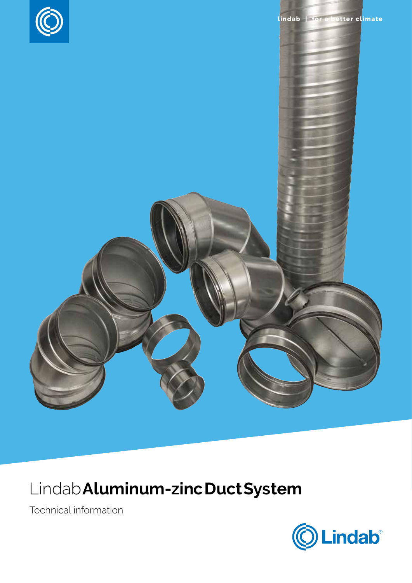

## Lindab**Aluminum-zincDuctSystem**

Technical information

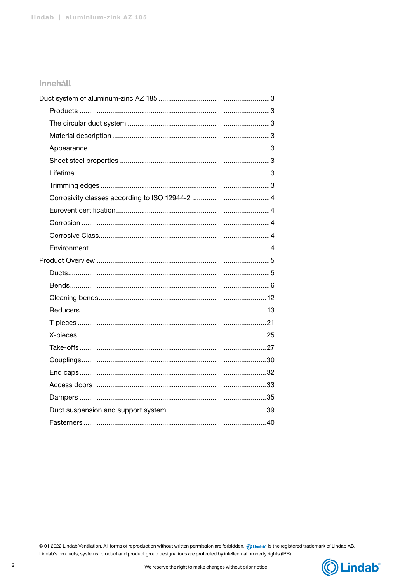#### **Innehåll**

© 01.2022 Lindab Ventilation. All forms of reproduction without written permission are forbidden. © Lindab is the registered trademark of Lindab AB. Lindab's products, systems, product and product group designations are protected by intellectual property rights (IPR).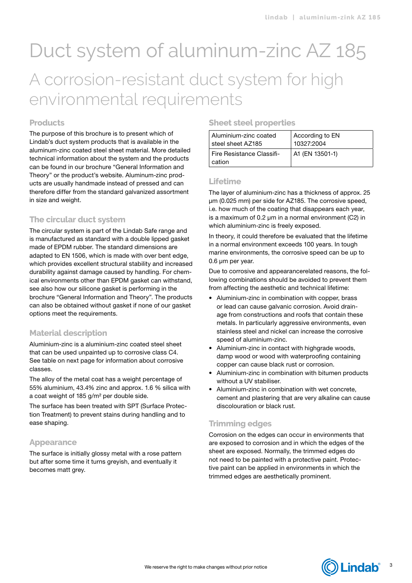## <span id="page-2-0"></span>Duct system of aluminum-zinc AZ 185 A corrosion-resistant duct system for high environmental requirements

#### **Products**

The purpose of this brochure is to present which of Lindab's duct system products that is available in the aluminum-zinc coated steel sheet material. More detailed technical information about the system and the products can be found in our brochure "General Information and Theory" or the product's website. Aluminum-zinc products are usually handmade instead of pressed and can therefore differ from the standard galvanized assortment in size and weight.

#### **The circular duct system**

The circular system is part of the Lindab Safe range and is manufactured as standard with a double lipped gasket made of EPDM rubber. The standard dimensions are adapted to EN 1506, which is made with over bent edge, which provides excellent structural stability and increased durability against damage caused by handling. For chemical environments other than EPDM gasket can withstand, see also how our silicone gasket is performing in the brochure "General Information and Theory". The products can also be obtained without gasket if none of our gasket options meet the requirements.

#### **Material description**

Aluminium-zinc is a aluminium-zinc coated steel sheet that can be used unpainted up to corrosive class C4. See table on next page for information about corrosive classes.

The alloy of the metal coat has a weight percentage of 55% aluminium, 43.4% zinc and approx. 1.6 % silica with a coat weight of 185 g/m² per double side.

The surface has been treated with SPT (Surface Protection Treatment) to prevent stains during handling and to ease shaping.

#### **Appearance**

The surface is initially glossy metal with a rose pattern but after some time it turns greyish, and eventually it becomes matt grey.

#### **Sheet steel properties**

| Aluminium-zinc coated               | According to EN |
|-------------------------------------|-----------------|
| steel sheet AZ185                   | 10327:2004      |
| Fire Resistance Classifi-<br>cation | A1 (EN 13501-1) |

#### **Lifetime**

The layer of aluminium-zinc has a thickness of approx. 25 μm (0.025 mm) per side for AZ185. The corrosive speed, i.e. how much of the coating that disappears each year, is a maximum of 0.2 μm in a normal environment (C2) in which aluminium-zinc is freely exposed.

In theory, it could therefore be evaluated that the lifetime in a normal environment exceeds 100 years. In tough marine environments, the corrosive speed can be up to 0.6 μm per year.

Due to corrosive and appearancerelated reasons, the following combinations should be avoided to prevent them from affecting the aesthetic and technical lifetime:

- Aluminium-zinc in combination with copper, brass or lead can cause galvanic corrosion. Avoid drainage from constructions and roofs that contain these metals. In particularly aggressive environments, even stainless steel and nickel can increase the corrosive speed of aluminium-zinc.
- Aluminium-zinc in contact with highgrade woods, damp wood or wood with waterproofing containing copper can cause black rust or corrosion.
- Aluminium-zinc in combination with bitumen products without a UV stabiliser.
- Aluminium-zinc in combination with wet concrete, cement and plastering that are very alkaline can cause discolouration or black rust.

#### **Trimming edges**

Corrosion on the edges can occur in environments that are exposed to corrosion and in which the edges of the sheet are exposed. Normally, the trimmed edges do not need to be painted with a protective paint. Protective paint can be applied in environments in which the trimmed edges are aesthetically prominent.



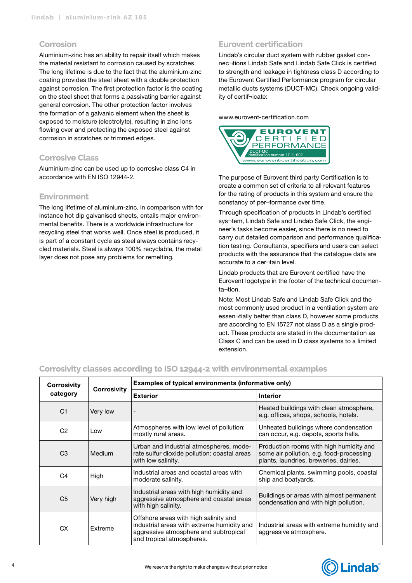#### <span id="page-3-0"></span>**Corrosion**

Aluminium-zinc has an ability to repair itself which makes the material resistant to corrosion caused by scratches. The long lifetime is due to the fact that the aluminium-zinc coating provides the steel sheet with a double protection against corrosion. The first protection factor is the coating on the steel sheet that forms a passivating barrier against general corrosion. The other protection factor involves the formation of a galvanic element when the sheet is exposed to moisture (electrolyte), resulting in zinc ions flowing over and protecting the exposed steel against corrosion in scratches or trimmed edges.

#### **Corrosive Class**

Aluminium-zinc can be used up to corrosive class C4 in accordance with EN ISO 12944-2.

#### **Environment**

The long lifetime of aluminium-zinc, in comparison with for instance hot dip galvanised sheets, entails major environmental benefits. There is a worldwide infrastructure for recycling steel that works well. Once steel is produced, it is part of a constant cycle as steel always contains recycled materials. Steel is always 100% recyclable, the metal layer does not pose any problems for remelting.

#### **Eurovent certification**

Lindab's circular duct system with rubber gasket connec¬tions Lindab Safe and Lindab Safe Click is certified to strength and leakage in tightness class D according to the Eurovent Certified Performance program for circular metallic ducts systems (DUCT-MC). Check ongoing validity of certif¬icate:

[www.eurovent-certification.com](http://www.eurovent-certification.com)



The purpose of Eurovent third party Certification is to create a common set of criteria to all relevant features for the rating of products in this system and ensure the constancy of per¬formance over time.

Through specification of products in Lindab's certified sys¬tem, Lindab Safe and Lindab Safe Click, the engineer's tasks become easier, since there is no need to carry out detailed comparison and performance qualification testing. Consultants, specifiers and users can select products with the assurance that the catalogue data are accurate to a cer¬tain level.

Lindab products that are Eurovent certified have the Eurovent logotype in the footer of the technical documenta¬tion.

Note: Most Lindab Safe and Lindab Safe Click and the most commonly used product in a ventilation system are essen¬tially better than class D, however some products are according to EN 15727 not class D as a single product. These products are stated in the documentation as Class C and can be used in D class systems to a limited extension.

#### **Corrosivity classes according to ISO 12944-2 with environmental examples**

| <b>Corrosivity</b> |                | Examples of typical environments (informative only)                                                                                                       |                                                                                                                               |
|--------------------|----------------|-----------------------------------------------------------------------------------------------------------------------------------------------------------|-------------------------------------------------------------------------------------------------------------------------------|
| category           | Corrosivity    | <b>Exterior</b>                                                                                                                                           | <b>Interior</b>                                                                                                               |
| C <sub>1</sub>     | Very low       |                                                                                                                                                           | Heated buildings with clean atmosphere,<br>e.g. offices, shops, schools, hotels.                                              |
| C <sub>2</sub>     | Low            | Atmospheres with low level of pollution:<br>Unheated buildings where condensation<br>mostly rural areas.<br>can occur, e.g. depots, sports halls.         |                                                                                                                               |
| C <sub>3</sub>     | Medium         | Urban and industrial atmospheres, mode-<br>rate sulfur dioxide pollution; coastal areas<br>with low salinity.                                             | Production rooms with high humidity and<br>some air pollution, e.g. food-processing<br>plants, laundries, breweries, dairies. |
| C <sub>4</sub>     | High           | Industrial areas and coastal areas with<br>moderate salinity.                                                                                             | Chemical plants, swimming pools, coastal<br>ship and boatyards.                                                               |
| C <sub>5</sub>     | Very high      | Industrial areas with high humidity and<br>aggressive atmosphere and coastal areas<br>with high salinity.                                                 | Buildings or areas with almost permanent<br>condensation and with high pollution.                                             |
| <b>CX</b>          | <b>Fxtreme</b> | Offshore areas with high salinity and<br>industrial areas with extreme humidity and<br>aggressive atmosphere and subtropical<br>and tropical atmospheres. | Industrial areas with extreme humidity and<br>aggressive atmosphere.                                                          |

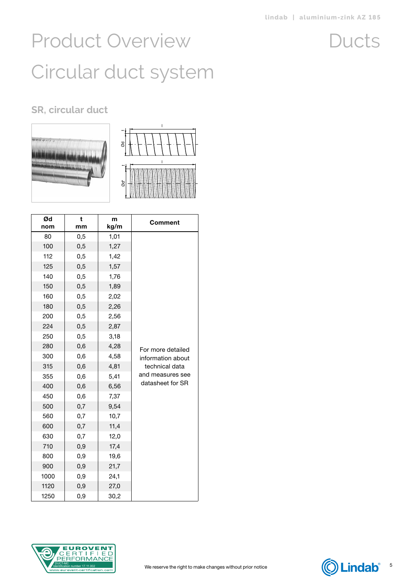Ducts

# <span id="page-4-0"></span>Product Overview Circular duct system

### **SR, circular duct**





| Ød<br>nom | t<br>mm  | m<br>kg/m | Comment           |
|-----------|----------|-----------|-------------------|
| 80        | 0,5      | 1,01      |                   |
| 100       | 0,5      | 1,27      |                   |
| 112       | 0,5      | 1,42      |                   |
| 125       | 0,5      | 1,57      |                   |
| 140       | 0,5      | 1,76      |                   |
| 150       | 0,5      | 1,89      |                   |
| 160       | 0,5      | 2,02      |                   |
| 180       | 0,5      | 2,26      |                   |
| 200       | 0,5      | 2,56      |                   |
| 224       | 0,5      | 2,87      |                   |
| 250       | 0,5      | 3,18      |                   |
| 280       | 0,6      | 4,28      | For more detailed |
| 300       | 0,6      | 4,58      | information about |
| 315       | 0,6      | 4,81      | technical data    |
| 355       | 0,6      | 5,41      | and measures see  |
| 400       | 0,6      | 6,56      | datasheet for SR  |
| 450       | 0,6      | 7,37      |                   |
| 500       | 0,7      | 9,54      |                   |
| 560       | 0,7      | 10,7      |                   |
| 600       | 0,7      | 11,4      |                   |
| 630       | 0,7      | 12,0      |                   |
| 710       | 0,9      | 17,4      |                   |
| 800       | 0,9      | 19,6      |                   |
| 900       | 0,9      | 21,7      |                   |
| 1000      | 0,9      | 24,1      |                   |
| 1120      | 0,9      | 27,0      |                   |
| 1250      | $_{0,9}$ | 30,2      |                   |



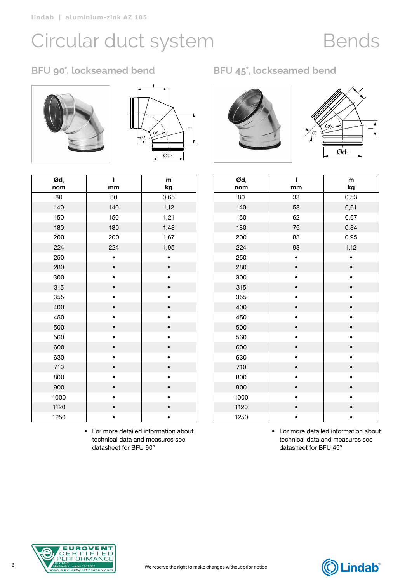## Bends

### <span id="page-5-0"></span>**BFU 90°, lockseamed bend BFU 45°, lockseamed bend**





| Ød,<br>nom | Ī<br>mm | m<br>kg |
|------------|---------|---------|
| 80         | 80      | 0,65    |
| 140        | 140     | 1,12    |
| 150        | 150     | 1,21    |
| 180        | 180     | 1,48    |
| 200        | 200     | 1,67    |
| 224        | 224     | 1,95    |
| 250        |         |         |
| 280        |         |         |
| 300        |         |         |
| 315        |         |         |
| 355        |         |         |
| 400        |         |         |
| 450        |         |         |
| 500        |         |         |
| 560        |         |         |
| 600        |         |         |
| 630        |         |         |
| 710        |         |         |
| 800        |         |         |
| 900        |         |         |
| 1000       |         |         |
| 1120       |         |         |
| 1250       |         |         |

• For more detailed information about technical data and measures see datasheet for BFU 90°





| Ød,  | ı         | m    |
|------|-----------|------|
| nom  | mm        | kg   |
| 80   | 33        | 0,53 |
| 140  | 58        | 0,61 |
| 150  | 62        | 0,67 |
| 180  | 75        | 0,84 |
| 200  | 83        | 0,95 |
| 224  | 93        | 1,12 |
| 250  |           |      |
| 280  | $\bullet$ |      |
| 300  |           |      |
| 315  |           |      |
| 355  |           |      |
| 400  |           |      |
| 450  |           |      |
| 500  |           |      |
| 560  |           |      |
| 600  |           |      |
| 630  |           |      |
| 710  |           |      |
| 800  |           |      |
| 900  |           |      |
| 1000 |           |      |
| 1120 |           |      |
| 1250 |           |      |

• For more detailed information about technical data and measures see datasheet for BFU 45°

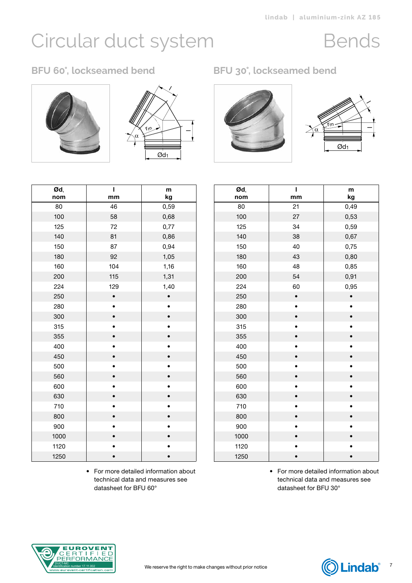### Bends

### **BFU 60°, lockseamed bend BFU 30°, lockseamed bend**









| Ød,  | Ī         | m         |
|------|-----------|-----------|
| nom  | mm        | kg        |
| 80   | 46        | 0,59      |
| 100  | 58        | 0,68      |
| 125  | 72        | 0,77      |
| 140  | 81        | 0,86      |
| 150  | 87        | 0,94      |
| 180  | 92        | 1,05      |
| 160  | 104       | 1,16      |
| 200  | 115       | 1,31      |
| 224  | 129       | 1,40      |
| 250  | $\bullet$ | $\bullet$ |
| 280  | $\bullet$ | $\bullet$ |
| 300  | $\bullet$ |           |
| 315  |           |           |
| 355  |           |           |
| 400  |           |           |
| 450  | $\bullet$ | $\bullet$ |
| 500  | ۰         |           |
| 560  |           |           |
| 600  |           | $\bullet$ |
| 630  |           |           |
| 710  |           |           |
| 800  | $\bullet$ | $\bullet$ |
| 900  |           |           |
| 1000 |           |           |
| 1120 |           |           |
| 1250 |           |           |

• For more detailed information about technical data and measures see datasheet for BFU 60°

| Ød,<br>nom | Ĭ.<br>mm  | m<br>kg   |
|------------|-----------|-----------|
| 80         | 21        | 0,49      |
| 100        | 27        | 0,53      |
| 125        | 34        | 0,59      |
| 140        | 38        | 0,67      |
| 150        | 40        | 0,75      |
| 180        | 43        | 0,80      |
| 160        | 48        | 0,85      |
| 200        | 54        | 0,91      |
| 224        | 60        | 0,95      |
| 250        | $\bullet$ | $\bullet$ |
| 280        |           |           |
| 300        |           |           |
| 315        |           |           |
| 355        |           |           |
| 400        |           |           |
| 450        |           |           |
| 500        |           |           |
| 560        |           |           |
| 600        |           |           |
| 630        |           |           |
| 710        |           |           |
| 800        |           |           |
| 900        |           |           |
| 1000       |           |           |
| 1120       |           |           |
| 1250       |           |           |

• For more detailed information about technical data and measures see datasheet for BFU 30°



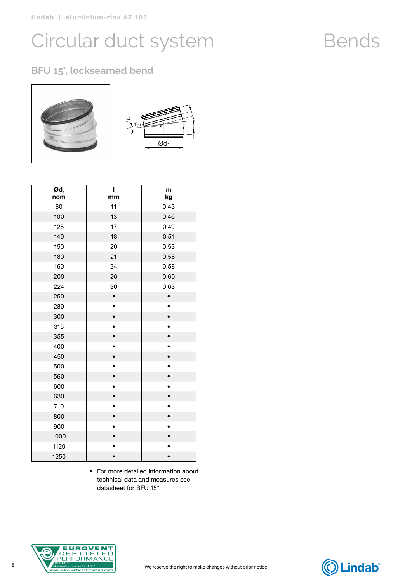### **BFU 15°, lockseamed bend**



| Ød,  | ı         | m         |
|------|-----------|-----------|
| nom  | mm        | kg        |
| 80   | 11        | 0,43      |
| 100  | 13        | 0,46      |
| 125  | 17        | 0,49      |
| 140  | 18        | 0,51      |
| 150  | 20        | 0,53      |
| 180  | 21        | 0,56      |
| 160  | 24        | 0,58      |
| 200  | 26        | 0,60      |
| 224  | 30        | 0,63      |
| 250  | $\bullet$ |           |
| 280  |           | $\bullet$ |
| 300  |           |           |
| 315  |           |           |
| 355  |           |           |
| 400  |           |           |
| 450  |           | $\bullet$ |
| 500  |           |           |
| 560  |           |           |
| 600  |           |           |
| 630  |           |           |
| 710  |           |           |
| 800  |           |           |
| 900  |           |           |
| 1000 |           |           |
| 1120 |           |           |
| 1250 |           |           |

• For more detailed information about technical data and measures see datasheet for BFU 15°



### Bends

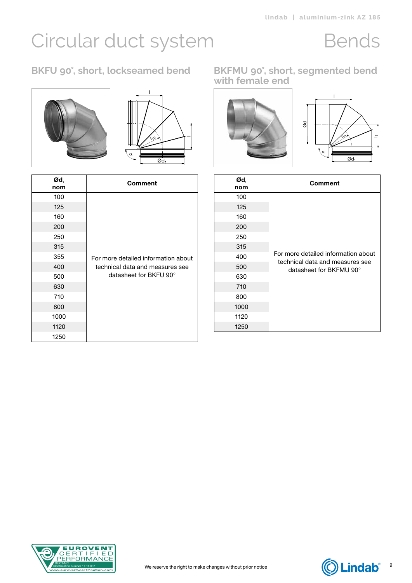# Circular duct system Bends





| Ød,<br>nom | Comment                             |
|------------|-------------------------------------|
| 100        |                                     |
| 125        |                                     |
| 160        |                                     |
| 200        |                                     |
| 250        |                                     |
| 315        |                                     |
| 355        | For more detailed information about |
| 400        | technical data and measures see     |
| 500        | datasheet for BKFU 90°              |
| 630        |                                     |
| 710        |                                     |
| 800        |                                     |
| 1000       |                                     |
| 1120       |                                     |
| 1250       |                                     |

**BKFU 90°, short, lockseamed bend BKFMU 90°, short, segmented bend with female end**



| Ød,<br>nom | <b>Comment</b>                                                         |
|------------|------------------------------------------------------------------------|
| 100        |                                                                        |
| 125        |                                                                        |
| 160        | For more detailed information about<br>technical data and measures see |
| 200        |                                                                        |
| 250        |                                                                        |
| 315        |                                                                        |
| 400        |                                                                        |
| 500        | datasheet for BKFMU 90°                                                |
| 630        |                                                                        |
| 710        |                                                                        |
| 800        |                                                                        |
| 1000       |                                                                        |
| 1120       |                                                                        |
| 1250       |                                                                        |



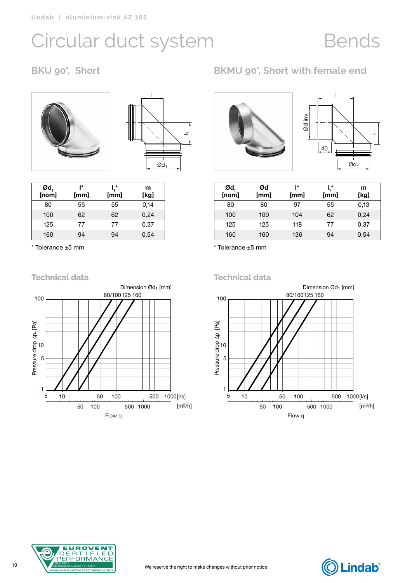## Bends





| $\mathfrak{od}^{\dagger}_{\mathfrak{g}}$ [nom] | ı∗<br>[mm] | I,*<br>[mm] | m<br>[kg] |
|------------------------------------------------|------------|-------------|-----------|
| 80                                             | 55         | 55          | 0,14      |
| 100                                            | 62         | 62          | 0,24      |
| 125                                            | 77         | 77          | 0,37      |
| 160                                            | 94         | 94          | 0,54      |

\* Tolerance ±5 mm



**BKU 90°, Short BKMU 90°, Short with female end**



| $\mathfrak{od}_{1}$ [nom] | Ød   | ı∗   | ľ.,  | m    |
|---------------------------|------|------|------|------|
|                           | [mm] | [mm] | [mm] | [kg] |
| 80                        | 80   | 97   | 55   | 0,13 |
| 100                       | 100  | 104  | 62   | 0,24 |
| 125                       | 125  | 118  | 77   | 0,37 |
| 160                       | 160  | 136  | 94   | 0,54 |

\* Tolerance ±5 mm

**Technical data**





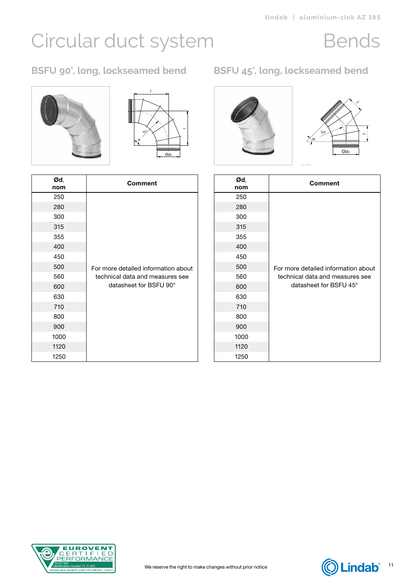# Circular duct system Bends

### **BSFU 90°, long, lockseamed bend BSFU 45°, long, lockseamed bend**





| Ød,<br>nom | <b>Comment</b>                      |
|------------|-------------------------------------|
| 250        |                                     |
| 280        |                                     |
| 300        |                                     |
| 315        |                                     |
| 355        |                                     |
| 400        |                                     |
| 450        |                                     |
| 500        | For more detailed information about |
| 560        | technical data and measures see     |
| 600        | datasheet for BSFU 90°              |
| 630        |                                     |
| 710        |                                     |
| 800        |                                     |
| 900        |                                     |
| 1000       |                                     |
| 1120       |                                     |
| 1250       |                                     |





| Ød,<br>nom | <b>Comment</b>                      |
|------------|-------------------------------------|
| 250        |                                     |
| 280        |                                     |
| 300        |                                     |
| 315        |                                     |
| 355        |                                     |
| 400        |                                     |
| 450        |                                     |
| 500        | For more detailed information about |
| 560        | technical data and measures see     |
| 600        | datasheet for BSFU 45°              |
| 630        |                                     |
| 710        |                                     |
| 800        |                                     |
| 900        |                                     |
| 1000       |                                     |
| 1120       |                                     |
| 1250       |                                     |

rm =1,5·d1



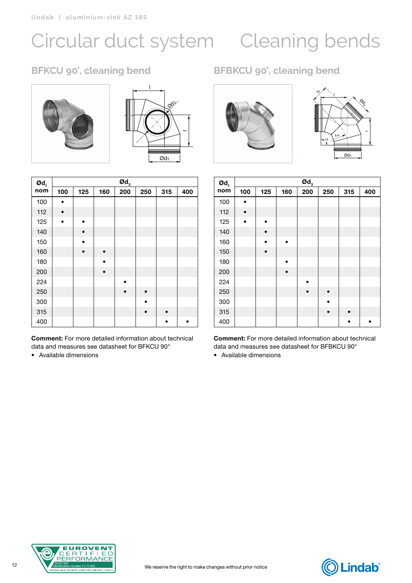# <span id="page-11-0"></span>Circular duct system Cleaning bends





| $\boldsymbol{\mathsf{od}}_1$ |           |           |           | $\boldsymbol{\mathsf{od}}_\mathsf{s}$ |           |           |     |
|------------------------------|-----------|-----------|-----------|---------------------------------------|-----------|-----------|-----|
| nom                          | 100       | 125       | 160       | 200                                   | 250       | 315       | 400 |
| 100                          | b.        |           |           |                                       |           |           |     |
| 112                          | $\bullet$ |           |           |                                       |           |           |     |
| 125                          | $\bullet$ | $\bullet$ |           |                                       |           |           |     |
| 140                          |           | $\bullet$ |           |                                       |           |           |     |
| 150                          |           | $\bullet$ |           |                                       |           |           |     |
| 160                          |           | $\bullet$ | $\bullet$ |                                       |           |           |     |
| 180                          |           |           | $\bullet$ |                                       |           |           |     |
| 200                          |           |           | $\bullet$ |                                       |           |           |     |
| 224                          |           |           |           | $\bullet$                             |           |           |     |
| 250                          |           |           |           | $\bullet$                             | $\bullet$ |           |     |
| 300                          |           |           |           |                                       |           |           |     |
| 315                          |           |           |           |                                       | $\bullet$ | $\bullet$ |     |
| 400                          |           |           |           |                                       |           | $\bullet$ | ٠   |

Comment: For more detailed information about technical data and measures see datasheet for BFKCU 90°

• Available dimensions

### **BFKCU 90°, cleaning bend BFBKCU 90°, cleaning bend**





| $\boldsymbol{\mathsf{od}}_1$ |           |           |           | $\boldsymbol{\mathsf{Od}}_3$ |           |           |     |
|------------------------------|-----------|-----------|-----------|------------------------------|-----------|-----------|-----|
| nom                          | 100       | 125       | 160       | 200                          | 250       | 315       | 400 |
| 100                          | $\bullet$ |           |           |                              |           |           |     |
| 112                          | $\bullet$ |           |           |                              |           |           |     |
| 125                          | $\bullet$ | $\bullet$ |           |                              |           |           |     |
| 140                          |           | $\bullet$ |           |                              |           |           |     |
| 160                          |           | b         | $\bullet$ |                              |           |           |     |
| 150                          |           | $\bullet$ |           |                              |           |           |     |
| 180                          |           |           | h         |                              |           |           |     |
| 200                          |           |           | $\bullet$ |                              |           |           |     |
| 224                          |           |           |           |                              |           |           |     |
| 250                          |           |           |           | $\bullet$                    |           |           |     |
| 300                          |           |           |           |                              |           |           |     |
| 315                          |           |           |           |                              | $\bullet$ | $\bullet$ |     |
| 400                          |           |           |           |                              |           |           |     |

Comment: For more detailed information about technical data and measures see datasheet for BFBKCU 90°



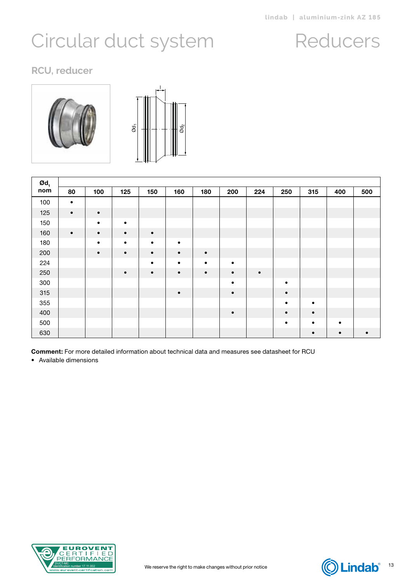### Reducers

<span id="page-12-0"></span>**RCU, reducer**



| $Qd_1$ |           |           |           |           |           |           |           |           |           |           |     |     |
|--------|-----------|-----------|-----------|-----------|-----------|-----------|-----------|-----------|-----------|-----------|-----|-----|
| nom    | 80        | 100       | 125       | 150       | 160       | 180       | 200       | 224       | 250       | 315       | 400 | 500 |
| 100    | $\bullet$ |           |           |           |           |           |           |           |           |           |     |     |
| 125    | $\bullet$ | $\bullet$ |           |           |           |           |           |           |           |           |     |     |
| 150    |           | $\bullet$ | $\bullet$ |           |           |           |           |           |           |           |     |     |
| 160    | $\bullet$ | $\bullet$ | $\bullet$ | $\bullet$ |           |           |           |           |           |           |     |     |
| 180    |           | $\bullet$ | $\bullet$ | $\bullet$ | $\bullet$ |           |           |           |           |           |     |     |
| 200    |           | $\bullet$ | $\bullet$ | $\bullet$ | $\bullet$ | $\bullet$ |           |           |           |           |     |     |
| 224    |           |           |           | $\bullet$ | $\bullet$ | $\bullet$ | $\bullet$ |           |           |           |     |     |
| 250    |           |           | $\bullet$ | $\bullet$ | $\bullet$ | $\bullet$ | $\bullet$ | $\bullet$ |           |           |     |     |
| 300    |           |           |           |           |           |           | $\bullet$ |           | $\bullet$ |           |     |     |
| 315    |           |           |           |           | $\bullet$ |           | $\bullet$ |           | $\bullet$ |           |     |     |
| 355    |           |           |           |           |           |           |           |           | $\bullet$ | $\bullet$ |     |     |
| 400    |           |           |           |           |           |           | $\bullet$ |           | $\bullet$ | $\bullet$ |     |     |
| 500    |           |           |           |           |           |           |           |           | $\bullet$ | $\bullet$ | ٠   |     |
| 630    |           |           |           |           |           |           |           |           |           |           |     |     |

ළ

Comment: For more detailed information about technical data and measures see datasheet for RCU



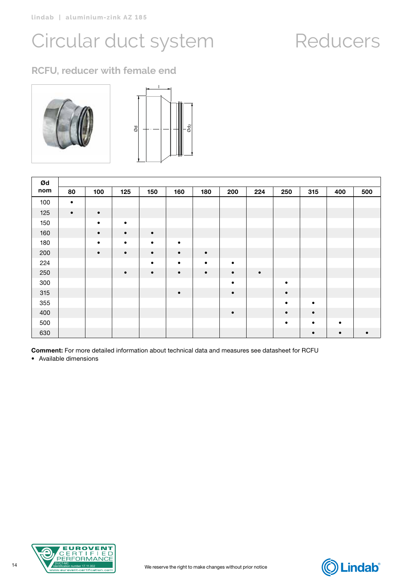## Reducers

### **RCFU, reducer with female end**



| Ød  |           |           |           |           |           |           |           |           |           |           |     |     |
|-----|-----------|-----------|-----------|-----------|-----------|-----------|-----------|-----------|-----------|-----------|-----|-----|
| nom | 80        | 100       | 125       | 150       | 160       | 180       | 200       | 224       | 250       | 315       | 400 | 500 |
| 100 | $\bullet$ |           |           |           |           |           |           |           |           |           |     |     |
| 125 | $\bullet$ | $\bullet$ |           |           |           |           |           |           |           |           |     |     |
| 150 |           | $\bullet$ | $\bullet$ |           |           |           |           |           |           |           |     |     |
| 160 |           | $\bullet$ | $\bullet$ | $\bullet$ |           |           |           |           |           |           |     |     |
| 180 |           | $\bullet$ | $\bullet$ | $\bullet$ | $\bullet$ |           |           |           |           |           |     |     |
| 200 |           | $\bullet$ | $\bullet$ | $\bullet$ | $\bullet$ | $\bullet$ |           |           |           |           |     |     |
| 224 |           |           |           | $\bullet$ | $\bullet$ | $\bullet$ | $\bullet$ |           |           |           |     |     |
| 250 |           |           | $\bullet$ | $\bullet$ | $\bullet$ | $\bullet$ | $\bullet$ | $\bullet$ |           |           |     |     |
| 300 |           |           |           |           |           |           | $\bullet$ |           | $\bullet$ |           |     |     |
| 315 |           |           |           |           | $\bullet$ |           | $\bullet$ |           | $\bullet$ |           |     |     |
| 355 |           |           |           |           |           |           |           |           | $\bullet$ | $\bullet$ |     |     |
| 400 |           |           |           |           |           |           | $\bullet$ |           | $\bullet$ | $\bullet$ |     |     |
| 500 |           |           |           |           |           |           |           |           | $\bullet$ |           |     |     |
| 630 |           |           |           |           |           |           |           |           |           |           |     |     |

Comment: For more detailed information about technical data and measures see datasheet for RCFU



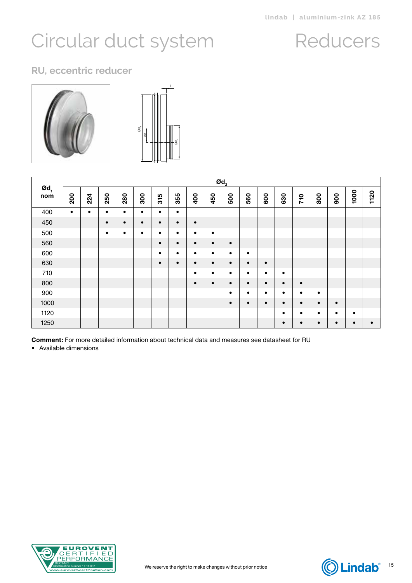### Reducers

#### **RU, eccentric reducer**



|                                     |           |           |           |           |           |           |           |           |           | $\boldsymbol{\mathsf{Od}}_2$ |           |           |           |           |           |           |      |           |
|-------------------------------------|-----------|-----------|-----------|-----------|-----------|-----------|-----------|-----------|-----------|------------------------------|-----------|-----------|-----------|-----------|-----------|-----------|------|-----------|
| $\boldsymbol{\mathsf{od}}_1$<br>nom | 200       | 224       | 250       | 280       | 300       | 315       | 355       | 400       | 450       | 500                          | 560       | 600       | 630       | 710       | 800       | 900       | 1000 | 1120      |
| 400                                 | $\bullet$ | $\bullet$ | $\bullet$ | $\bullet$ | ٠         | $\bullet$ | $\bullet$ |           |           |                              |           |           |           |           |           |           |      |           |
| 450                                 |           |           | $\bullet$ | $\bullet$ | $\bullet$ | $\bullet$ | $\bullet$ | $\bullet$ |           |                              |           |           |           |           |           |           |      |           |
| 500                                 |           |           | $\bullet$ | $\bullet$ | $\bullet$ | $\bullet$ | $\bullet$ | $\bullet$ | $\bullet$ |                              |           |           |           |           |           |           |      |           |
| 560                                 |           |           |           |           |           | $\bullet$ | $\bullet$ | $\bullet$ | $\bullet$ | $\bullet$                    |           |           |           |           |           |           |      |           |
| 600                                 |           |           |           |           |           | $\bullet$ | $\bullet$ | ٠         | $\bullet$ | $\bullet$                    | $\bullet$ |           |           |           |           |           |      |           |
| 630                                 |           |           |           |           |           | $\bullet$ | $\bullet$ | $\bullet$ | $\bullet$ | $\bullet$                    | $\bullet$ | $\bullet$ |           |           |           |           |      |           |
| 710                                 |           |           |           |           |           |           |           | ٠         | $\bullet$ | $\bullet$                    | $\bullet$ | $\bullet$ | $\bullet$ |           |           |           |      |           |
| 800                                 |           |           |           |           |           |           |           | $\bullet$ | $\bullet$ | $\bullet$                    | $\bullet$ | $\bullet$ | $\bullet$ | $\bullet$ |           |           |      |           |
| 900                                 |           |           |           |           |           |           |           |           |           | $\bullet$                    | $\bullet$ | $\bullet$ | $\bullet$ | $\bullet$ | $\bullet$ |           |      |           |
| 1000                                |           |           |           |           |           |           |           |           |           | $\bullet$                    | $\bullet$ | $\bullet$ | $\bullet$ | $\bullet$ | $\bullet$ | $\bullet$ |      |           |
| 1120                                |           |           |           |           |           |           |           |           |           |                              |           |           | $\bullet$ | $\bullet$ | $\bullet$ | $\bullet$ |      |           |
| 1250                                |           |           |           |           |           |           |           |           |           |                              |           |           | $\bullet$ | $\bullet$ | $\bullet$ | $\bullet$ | ٠    | $\bullet$ |

Comment: For more detailed information about technical data and measures see datasheet for RU



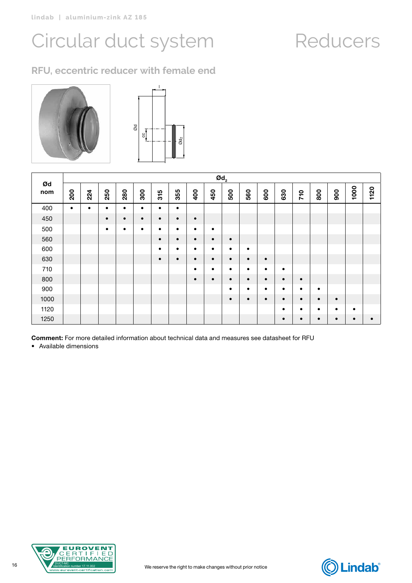### **RFU, eccentric reducer with female end**



|           |           |           |           |           |           |           |           |           |           | $\boldsymbol{\mathsf{Od}}_2$ |           |           |           |           |           |           |           |           |
|-----------|-----------|-----------|-----------|-----------|-----------|-----------|-----------|-----------|-----------|------------------------------|-----------|-----------|-----------|-----------|-----------|-----------|-----------|-----------|
| Ød<br>nom | 200       | 224       | 250       | 280       | 300       | 315       | 355       | 400       | 450       | 500                          | 560       | 600       | 630       | 710       | 800       | 900       | 1000      | 1120      |
| 400       | $\bullet$ | $\bullet$ | $\bullet$ | $\bullet$ | ٠         | $\bullet$ | $\bullet$ |           |           |                              |           |           |           |           |           |           |           |           |
| 450       |           |           | $\bullet$ | $\bullet$ | $\bullet$ | $\bullet$ | $\bullet$ | $\bullet$ |           |                              |           |           |           |           |           |           |           |           |
| 500       |           |           | $\bullet$ | $\bullet$ | $\bullet$ | $\bullet$ | $\bullet$ | $\bullet$ | $\bullet$ |                              |           |           |           |           |           |           |           |           |
| 560       |           |           |           |           |           | $\bullet$ | $\bullet$ | $\bullet$ | $\bullet$ | $\bullet$                    |           |           |           |           |           |           |           |           |
| 600       |           |           |           |           |           | $\bullet$ | $\bullet$ | $\bullet$ | $\bullet$ | $\bullet$                    | $\bullet$ |           |           |           |           |           |           |           |
| 630       |           |           |           |           |           | $\bullet$ | $\bullet$ | $\bullet$ | $\bullet$ | $\bullet$                    | $\bullet$ | $\bullet$ |           |           |           |           |           |           |
| 710       |           |           |           |           |           |           |           | $\bullet$ | $\bullet$ | $\bullet$                    | $\bullet$ | $\bullet$ | $\bullet$ |           |           |           |           |           |
| 800       |           |           |           |           |           |           |           | $\bullet$ | $\bullet$ | $\bullet$                    | $\bullet$ | $\bullet$ | $\bullet$ | $\bullet$ |           |           |           |           |
| 900       |           |           |           |           |           |           |           |           |           | $\bullet$                    | $\bullet$ | $\bullet$ | $\bullet$ | $\bullet$ | $\bullet$ |           |           |           |
| 1000      |           |           |           |           |           |           |           |           |           | $\bullet$                    | $\bullet$ | $\bullet$ | $\bullet$ | $\bullet$ | $\bullet$ | $\bullet$ |           |           |
| 1120      |           |           |           |           |           |           |           |           |           |                              |           |           | $\bullet$ | $\bullet$ | $\bullet$ | ٠         |           |           |
| 1250      |           |           |           |           |           |           |           |           |           |                              |           |           | $\bullet$ | $\bullet$ | $\bullet$ | $\bullet$ | $\bullet$ | $\bullet$ |

Comment: For more detailed information about technical data and measures see datasheet for RFU



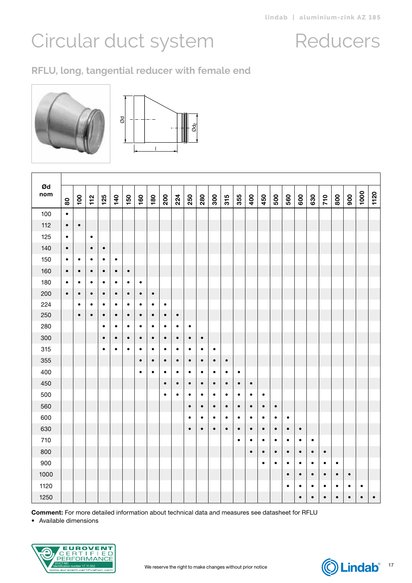### **RFLU, long, tangential reducer with female end**



Т



| Ød<br>nom | $\bf{80}$ | 100       | $112$     | 125       | 140       | 150       | 160       | 180       | 200       | 224       | 250       | 280       | 300       | 315       | 355       | 400       | 450       | 500       | 560       | 600       | 630       | 710       | 800       | 900       | 1000      | 1120      |
|-----------|-----------|-----------|-----------|-----------|-----------|-----------|-----------|-----------|-----------|-----------|-----------|-----------|-----------|-----------|-----------|-----------|-----------|-----------|-----------|-----------|-----------|-----------|-----------|-----------|-----------|-----------|
| 100       | $\bullet$ |           |           |           |           |           |           |           |           |           |           |           |           |           |           |           |           |           |           |           |           |           |           |           |           |           |
| 112       | $\bullet$ | $\bullet$ |           |           |           |           |           |           |           |           |           |           |           |           |           |           |           |           |           |           |           |           |           |           |           |           |
| 125       | $\bullet$ |           | $\bullet$ |           |           |           |           |           |           |           |           |           |           |           |           |           |           |           |           |           |           |           |           |           |           |           |
| 140       | $\bullet$ |           | $\bullet$ | $\bullet$ |           |           |           |           |           |           |           |           |           |           |           |           |           |           |           |           |           |           |           |           |           |           |
| 150       | $\bullet$ | $\bullet$ | $\bullet$ | $\bullet$ | $\bullet$ |           |           |           |           |           |           |           |           |           |           |           |           |           |           |           |           |           |           |           |           |           |
| 160       | $\bullet$ | $\bullet$ | $\bullet$ | $\bullet$ | $\bullet$ | $\bullet$ |           |           |           |           |           |           |           |           |           |           |           |           |           |           |           |           |           |           |           |           |
| 180       | $\bullet$ | $\bullet$ | $\bullet$ | $\bullet$ | $\bullet$ | $\bullet$ | $\bullet$ |           |           |           |           |           |           |           |           |           |           |           |           |           |           |           |           |           |           |           |
| 200       | $\bullet$ | $\bullet$ | $\bullet$ | $\bullet$ | $\bullet$ | $\bullet$ | $\bullet$ | $\bullet$ |           |           |           |           |           |           |           |           |           |           |           |           |           |           |           |           |           |           |
| 224       |           | $\bullet$ | $\bullet$ | $\bullet$ | $\bullet$ | $\bullet$ | $\bullet$ | $\bullet$ | $\bullet$ |           |           |           |           |           |           |           |           |           |           |           |           |           |           |           |           |           |
| 250       |           | $\bullet$ | $\bullet$ | $\bullet$ | $\bullet$ | $\bullet$ | $\bullet$ | $\bullet$ | $\bullet$ | $\bullet$ |           |           |           |           |           |           |           |           |           |           |           |           |           |           |           |           |
| 280       |           |           |           | $\bullet$ | $\bullet$ | $\bullet$ | $\bullet$ | $\bullet$ | $\bullet$ | $\bullet$ | $\bullet$ |           |           |           |           |           |           |           |           |           |           |           |           |           |           |           |
| 300       |           |           |           | $\bullet$ | $\bullet$ | $\bullet$ | $\bullet$ | $\bullet$ | $\bullet$ | $\bullet$ | $\bullet$ | $\bullet$ |           |           |           |           |           |           |           |           |           |           |           |           |           |           |
| 315       |           |           |           | $\bullet$ | $\bullet$ | $\bullet$ | $\bullet$ | $\bullet$ | $\bullet$ | $\bullet$ | $\bullet$ | $\bullet$ | $\bullet$ |           |           |           |           |           |           |           |           |           |           |           |           |           |
| 355       |           |           |           |           |           |           | $\bullet$ | $\bullet$ | $\bullet$ | $\bullet$ | $\bullet$ | $\bullet$ | $\bullet$ | $\bullet$ |           |           |           |           |           |           |           |           |           |           |           |           |
| 400       |           |           |           |           |           |           | $\bullet$ | $\bullet$ | $\bullet$ | $\bullet$ | $\bullet$ | $\bullet$ | $\bullet$ | $\bullet$ | $\bullet$ |           |           |           |           |           |           |           |           |           |           |           |
| 450       |           |           |           |           |           |           |           |           | $\bullet$ | $\bullet$ | $\bullet$ | $\bullet$ | $\bullet$ | $\bullet$ | $\bullet$ | $\bullet$ |           |           |           |           |           |           |           |           |           |           |
| 500       |           |           |           |           |           |           |           |           | $\bullet$ | $\bullet$ | $\bullet$ | $\bullet$ | $\bullet$ | $\bullet$ | $\bullet$ | $\bullet$ | $\bullet$ |           |           |           |           |           |           |           |           |           |
| 560       |           |           |           |           |           |           |           |           |           |           | $\bullet$ | $\bullet$ | $\bullet$ | $\bullet$ | $\bullet$ | $\bullet$ | $\bullet$ | $\bullet$ |           |           |           |           |           |           |           |           |
| 600       |           |           |           |           |           |           |           |           |           |           | $\bullet$ | $\bullet$ | $\bullet$ | $\bullet$ | $\bullet$ | $\bullet$ | $\bullet$ | $\bullet$ | $\bullet$ |           |           |           |           |           |           |           |
| 630       |           |           |           |           |           |           |           |           |           |           | $\bullet$ | $\bullet$ | $\bullet$ | $\bullet$ | $\bullet$ | $\bullet$ | $\bullet$ | $\bullet$ | $\bullet$ | $\bullet$ |           |           |           |           |           |           |
| 710       |           |           |           |           |           |           |           |           |           |           |           |           |           |           | $\bullet$ | $\bullet$ | $\bullet$ | $\bullet$ | $\bullet$ | $\bullet$ | $\bullet$ |           |           |           |           |           |
| 800       |           |           |           |           |           |           |           |           |           |           |           |           |           |           |           | $\bullet$ | $\bullet$ | $\bullet$ | $\bullet$ | $\bullet$ | $\bullet$ | $\bullet$ |           |           |           |           |
| 900       |           |           |           |           |           |           |           |           |           |           |           |           |           |           |           |           | $\bullet$ | $\bullet$ | $\bullet$ | $\bullet$ | $\bullet$ | $\bullet$ | $\bullet$ |           |           |           |
| 1000      |           |           |           |           |           |           |           |           |           |           |           |           |           |           |           |           |           |           | $\bullet$ | $\bullet$ | $\bullet$ | $\bullet$ | $\bullet$ | $\bullet$ |           |           |
| 1120      |           |           |           |           |           |           |           |           |           |           |           |           |           |           |           |           |           |           | $\bullet$ | $\bullet$ | $\bullet$ | $\bullet$ | $\bullet$ | $\bullet$ | $\bullet$ |           |
| 1250      |           |           |           |           |           |           |           |           |           |           |           |           |           |           |           |           |           |           |           | $\bullet$ | $\bullet$ | $\bullet$ | $\bullet$ | $\bullet$ | $\bullet$ | $\bullet$ |

Comment: For more detailed information about technical data and measures see datasheet for RFLU



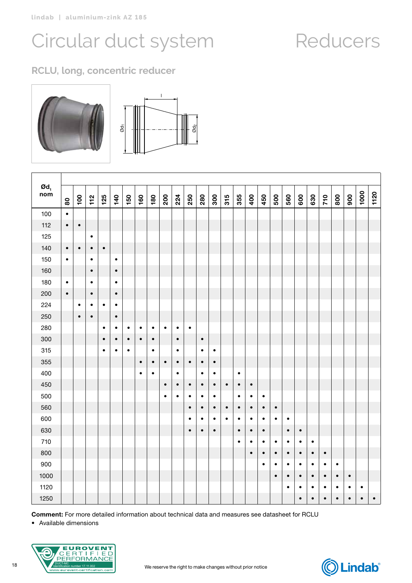### **RCLU, long, concentric reducer**





| $\boldsymbol{\mathsf{od}}_1$<br>nom | $\tt{80}$ | $\overline{100}$ | $\frac{1}{2}$ | 125       | 140       | 150       | 160       | 180       | 200       | 224       | 250       | 280       | 300       | 315       | 355       | 400       | 450       | 500       | 560       | 600       | 630       | 710       | 800       | 900       | 1000      | 1120      |
|-------------------------------------|-----------|------------------|---------------|-----------|-----------|-----------|-----------|-----------|-----------|-----------|-----------|-----------|-----------|-----------|-----------|-----------|-----------|-----------|-----------|-----------|-----------|-----------|-----------|-----------|-----------|-----------|
| 100                                 | $\bullet$ |                  |               |           |           |           |           |           |           |           |           |           |           |           |           |           |           |           |           |           |           |           |           |           |           |           |
| 112                                 | $\bullet$ | $\bullet$        |               |           |           |           |           |           |           |           |           |           |           |           |           |           |           |           |           |           |           |           |           |           |           |           |
| 125                                 |           |                  | $\bullet$     |           |           |           |           |           |           |           |           |           |           |           |           |           |           |           |           |           |           |           |           |           |           |           |
| 140                                 | $\bullet$ | $\bullet$        | $\bullet$     | $\bullet$ |           |           |           |           |           |           |           |           |           |           |           |           |           |           |           |           |           |           |           |           |           |           |
| 150                                 | $\bullet$ |                  | $\bullet$     |           | $\bullet$ |           |           |           |           |           |           |           |           |           |           |           |           |           |           |           |           |           |           |           |           |           |
| 160                                 |           |                  | $\bullet$     |           | $\bullet$ |           |           |           |           |           |           |           |           |           |           |           |           |           |           |           |           |           |           |           |           |           |
| 180                                 | $\bullet$ |                  | $\bullet$     |           | $\bullet$ |           |           |           |           |           |           |           |           |           |           |           |           |           |           |           |           |           |           |           |           |           |
| 200                                 | $\bullet$ |                  | $\bullet$     |           | $\bullet$ |           |           |           |           |           |           |           |           |           |           |           |           |           |           |           |           |           |           |           |           |           |
| 224                                 |           | $\bullet$        | $\bullet$     | $\bullet$ | $\bullet$ |           |           |           |           |           |           |           |           |           |           |           |           |           |           |           |           |           |           |           |           |           |
| 250                                 |           | $\bullet$        | $\bullet$     |           | $\bullet$ |           |           |           |           |           |           |           |           |           |           |           |           |           |           |           |           |           |           |           |           |           |
| 280                                 |           |                  |               | $\bullet$ | $\bullet$ | $\bullet$ | $\bullet$ | $\bullet$ | $\bullet$ | $\bullet$ | $\bullet$ |           |           |           |           |           |           |           |           |           |           |           |           |           |           |           |
| 300                                 |           |                  |               | $\bullet$ | $\bullet$ | $\bullet$ | $\bullet$ | $\bullet$ |           | $\bullet$ |           | $\bullet$ |           |           |           |           |           |           |           |           |           |           |           |           |           |           |
| 315                                 |           |                  |               | $\bullet$ | $\bullet$ | $\bullet$ |           | $\bullet$ |           | $\bullet$ |           | $\bullet$ | $\bullet$ |           |           |           |           |           |           |           |           |           |           |           |           |           |
| 355                                 |           |                  |               |           |           |           | $\bullet$ | $\bullet$ | $\bullet$ | $\bullet$ | $\bullet$ | $\bullet$ | $\bullet$ |           |           |           |           |           |           |           |           |           |           |           |           |           |
| 400                                 |           |                  |               |           |           |           | $\bullet$ | $\bullet$ |           | $\bullet$ |           | $\bullet$ | $\bullet$ |           | $\bullet$ |           |           |           |           |           |           |           |           |           |           |           |
| 450                                 |           |                  |               |           |           |           |           |           | $\bullet$ | $\bullet$ | $\bullet$ | $\bullet$ | $\bullet$ | $\bullet$ | $\bullet$ | $\bullet$ |           |           |           |           |           |           |           |           |           |           |
| 500                                 |           |                  |               |           |           |           |           |           | $\bullet$ | $\bullet$ | $\bullet$ | $\bullet$ | $\bullet$ |           | $\bullet$ | $\bullet$ | $\bullet$ |           |           |           |           |           |           |           |           |           |
| 560                                 |           |                  |               |           |           |           |           |           |           |           | $\bullet$ | $\bullet$ | $\bullet$ | $\bullet$ | $\bullet$ | $\bullet$ | $\bullet$ | $\bullet$ |           |           |           |           |           |           |           |           |
| 600                                 |           |                  |               |           |           |           |           |           |           |           | $\bullet$ | $\bullet$ | $\bullet$ | $\bullet$ | $\bullet$ | $\bullet$ | $\bullet$ | $\bullet$ | $\bullet$ |           |           |           |           |           |           |           |
| 630                                 |           |                  |               |           |           |           |           |           |           |           | $\bullet$ | $\bullet$ | $\bullet$ |           | $\bullet$ | $\bullet$ | $\bullet$ |           | $\bullet$ | $\bullet$ |           |           |           |           |           |           |
| 710                                 |           |                  |               |           |           |           |           |           |           |           |           |           |           |           | $\bullet$ | $\bullet$ | $\bullet$ | $\bullet$ | $\bullet$ | $\bullet$ | $\bullet$ |           |           |           |           |           |
| 800                                 |           |                  |               |           |           |           |           |           |           |           |           |           |           |           |           | $\bullet$ | $\bullet$ | $\bullet$ | $\bullet$ | $\bullet$ | $\bullet$ | $\bullet$ |           |           |           |           |
| 900                                 |           |                  |               |           |           |           |           |           |           |           |           |           |           |           |           |           | $\bullet$ | $\bullet$ | $\bullet$ | $\bullet$ | $\bullet$ | $\bullet$ | $\bullet$ |           |           |           |
| 1000                                |           |                  |               |           |           |           |           |           |           |           |           |           |           |           |           |           |           | $\bullet$ | $\bullet$ | $\bullet$ | $\bullet$ | $\bullet$ | $\bullet$ | $\bullet$ |           |           |
| 1120                                |           |                  |               |           |           |           |           |           |           |           |           |           |           |           |           |           |           |           | $\bullet$ | $\bullet$ | $\bullet$ | $\bullet$ | $\bullet$ | $\bullet$ | $\bullet$ |           |
| 1250                                |           |                  |               |           |           |           |           |           |           |           |           |           |           |           |           |           |           |           |           | $\bullet$ | $\bullet$ | $\bullet$ | $\bullet$ | $\bullet$ | $\bullet$ | $\bullet$ |

Comment: For more detailed information about technical data and measures see datasheet for RCLU

• Available dimensions



#### We reserve the right to make changes without prior notice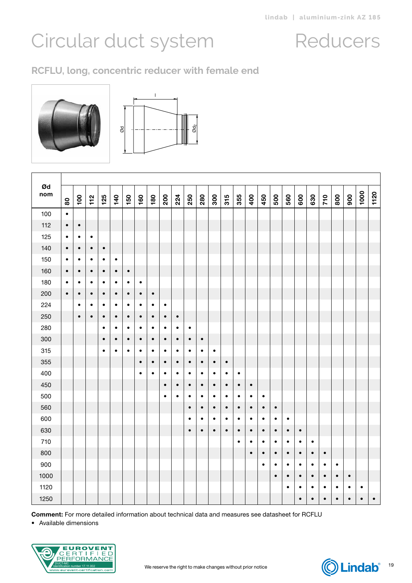### **RCFLU, long, concentric reducer with female end**



Т



| Ød<br>nom | $\bf{80}$ | $\overline{0}$ | $112$     | 125       | 140       | 150       | 160       | 180       | 200       | 224       | 250       | 280       | 300       | 315       | 355       | 400       | 450       | 500       | 560       | 600       | 630       | 710       | 800       | 900       | 1000      | 1120      |
|-----------|-----------|----------------|-----------|-----------|-----------|-----------|-----------|-----------|-----------|-----------|-----------|-----------|-----------|-----------|-----------|-----------|-----------|-----------|-----------|-----------|-----------|-----------|-----------|-----------|-----------|-----------|
| 100       | $\bullet$ |                |           |           |           |           |           |           |           |           |           |           |           |           |           |           |           |           |           |           |           |           |           |           |           |           |
| 112       | $\bullet$ | $\bullet$      |           |           |           |           |           |           |           |           |           |           |           |           |           |           |           |           |           |           |           |           |           |           |           |           |
| 125       | $\bullet$ | $\bullet$      | $\bullet$ |           |           |           |           |           |           |           |           |           |           |           |           |           |           |           |           |           |           |           |           |           |           |           |
| 140       | $\bullet$ | $\bullet$      | $\bullet$ | $\bullet$ |           |           |           |           |           |           |           |           |           |           |           |           |           |           |           |           |           |           |           |           |           |           |
| 150       | $\bullet$ | $\bullet$      | $\bullet$ | $\bullet$ | $\bullet$ |           |           |           |           |           |           |           |           |           |           |           |           |           |           |           |           |           |           |           |           |           |
| 160       | $\bullet$ | $\bullet$      | $\bullet$ | $\bullet$ | $\bullet$ | $\bullet$ |           |           |           |           |           |           |           |           |           |           |           |           |           |           |           |           |           |           |           |           |
| 180       | $\bullet$ | $\bullet$      | $\bullet$ | $\bullet$ | $\bullet$ | $\bullet$ | $\bullet$ |           |           |           |           |           |           |           |           |           |           |           |           |           |           |           |           |           |           |           |
| 200       | $\bullet$ | $\bullet$      | $\bullet$ | $\bullet$ | $\bullet$ | $\bullet$ | $\bullet$ | $\bullet$ |           |           |           |           |           |           |           |           |           |           |           |           |           |           |           |           |           |           |
| 224       |           | $\bullet$      | ٠         | ٠         | ٠         | $\bullet$ | ٠         | $\bullet$ | ٠         |           |           |           |           |           |           |           |           |           |           |           |           |           |           |           |           |           |
| 250       |           | $\bullet$      | $\bullet$ | $\bullet$ | $\bullet$ | $\bullet$ | $\bullet$ | $\bullet$ | $\bullet$ | $\bullet$ |           |           |           |           |           |           |           |           |           |           |           |           |           |           |           |           |
| 280       |           |                |           | $\bullet$ | $\bullet$ | $\bullet$ | $\bullet$ | $\bullet$ | $\bullet$ | $\bullet$ | $\bullet$ |           |           |           |           |           |           |           |           |           |           |           |           |           |           |           |
| 300       |           |                |           | $\bullet$ | $\bullet$ | $\bullet$ | $\bullet$ | $\bullet$ | $\bullet$ | $\bullet$ | $\bullet$ | $\bullet$ |           |           |           |           |           |           |           |           |           |           |           |           |           |           |
| 315       |           |                |           | $\bullet$ | $\bullet$ | $\bullet$ | $\bullet$ | $\bullet$ | $\bullet$ | $\bullet$ | $\bullet$ | $\bullet$ | $\bullet$ |           |           |           |           |           |           |           |           |           |           |           |           |           |
| 355       |           |                |           |           |           |           | $\bullet$ | $\bullet$ | $\bullet$ | $\bullet$ | $\bullet$ | $\bullet$ | $\bullet$ | $\bullet$ |           |           |           |           |           |           |           |           |           |           |           |           |
| 400       |           |                |           |           |           |           | $\bullet$ | $\bullet$ | $\bullet$ | $\bullet$ | $\bullet$ | $\bullet$ | $\bullet$ | $\bullet$ | $\bullet$ |           |           |           |           |           |           |           |           |           |           |           |
| 450       |           |                |           |           |           |           |           |           | $\bullet$ | $\bullet$ | $\bullet$ | $\bullet$ | $\bullet$ | $\bullet$ | $\bullet$ | $\bullet$ |           |           |           |           |           |           |           |           |           |           |
| 500       |           |                |           |           |           |           |           |           | $\bullet$ | $\bullet$ | $\bullet$ | $\bullet$ | $\bullet$ | $\bullet$ | $\bullet$ | $\bullet$ | $\bullet$ |           |           |           |           |           |           |           |           |           |
| 560       |           |                |           |           |           |           |           |           |           |           | $\bullet$ | $\bullet$ | $\bullet$ | $\bullet$ | $\bullet$ | $\bullet$ | $\bullet$ | $\bullet$ |           |           |           |           |           |           |           |           |
| 600       |           |                |           |           |           |           |           |           |           |           | $\bullet$ | $\bullet$ | $\bullet$ | $\bullet$ | $\bullet$ | $\bullet$ | $\bullet$ | $\bullet$ | $\bullet$ |           |           |           |           |           |           |           |
| 630       |           |                |           |           |           |           |           |           |           |           | $\bullet$ | $\bullet$ | $\bullet$ | $\bullet$ | $\bullet$ | $\bullet$ | $\bullet$ | $\bullet$ | $\bullet$ | $\bullet$ |           |           |           |           |           |           |
| 710       |           |                |           |           |           |           |           |           |           |           |           |           |           |           | $\bullet$ | $\bullet$ | $\bullet$ | $\bullet$ | $\bullet$ | ٠         | $\bullet$ |           |           |           |           |           |
| 800       |           |                |           |           |           |           |           |           |           |           |           |           |           |           |           | $\bullet$ | $\bullet$ | $\bullet$ | $\bullet$ | $\bullet$ | $\bullet$ | $\bullet$ |           |           |           |           |
| 900       |           |                |           |           |           |           |           |           |           |           |           |           |           |           |           |           | $\bullet$ | $\bullet$ | $\bullet$ | $\bullet$ | $\bullet$ | $\bullet$ | $\bullet$ |           |           |           |
| 1000      |           |                |           |           |           |           |           |           |           |           |           |           |           |           |           |           |           | $\bullet$ | $\bullet$ | $\bullet$ | $\bullet$ | $\bullet$ | $\bullet$ | $\bullet$ |           |           |
| 1120      |           |                |           |           |           |           |           |           |           |           |           |           |           |           |           |           |           |           | $\bullet$ | $\bullet$ | $\bullet$ | $\bullet$ | $\bullet$ | $\bullet$ | $\bullet$ |           |
| 1250      |           |                |           |           |           |           |           |           |           |           |           |           |           |           |           |           |           |           |           | $\bullet$ | $\bullet$ | $\bullet$ | $\bullet$ | $\bullet$ | $\bullet$ | $\bullet$ |

Comment: For more detailed information about technical data and measures see datasheet for RCFLU



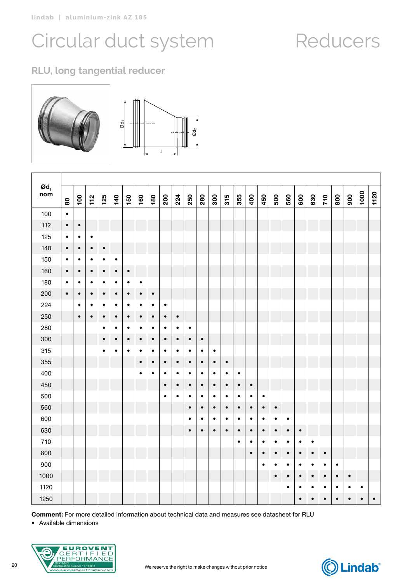### **RLU, long tangential reducer**



| $\boldsymbol{\mathsf{od}}_\textsf{\tiny 1}$<br>nom | $\bf{80}$ | 100       | $\frac{1}{1}$ | 125       | 140       | 150       | 160       | 180       | 200       | 224       | 250       | 280       | 300       | 315       | 355       | 400       | 450       | 500       | 560       | 600       | 630       | 710       | 800       | 900       | 1000      | 1120      |
|----------------------------------------------------|-----------|-----------|---------------|-----------|-----------|-----------|-----------|-----------|-----------|-----------|-----------|-----------|-----------|-----------|-----------|-----------|-----------|-----------|-----------|-----------|-----------|-----------|-----------|-----------|-----------|-----------|
| 100                                                | $\bullet$ |           |               |           |           |           |           |           |           |           |           |           |           |           |           |           |           |           |           |           |           |           |           |           |           |           |
| 112                                                | $\bullet$ | $\bullet$ |               |           |           |           |           |           |           |           |           |           |           |           |           |           |           |           |           |           |           |           |           |           |           |           |
| 125                                                | $\bullet$ | $\bullet$ | $\bullet$     |           |           |           |           |           |           |           |           |           |           |           |           |           |           |           |           |           |           |           |           |           |           |           |
| 140                                                | $\bullet$ | $\bullet$ | $\bullet$     | $\bullet$ |           |           |           |           |           |           |           |           |           |           |           |           |           |           |           |           |           |           |           |           |           |           |
| 150                                                | $\bullet$ | ٠         | $\bullet$     | $\bullet$ | $\bullet$ |           |           |           |           |           |           |           |           |           |           |           |           |           |           |           |           |           |           |           |           |           |
| 160                                                | $\bullet$ | $\bullet$ | $\bullet$     | $\bullet$ | $\bullet$ | $\bullet$ |           |           |           |           |           |           |           |           |           |           |           |           |           |           |           |           |           |           |           |           |
| 180                                                | $\bullet$ | $\bullet$ | $\bullet$     | $\bullet$ | $\bullet$ | $\bullet$ | $\bullet$ |           |           |           |           |           |           |           |           |           |           |           |           |           |           |           |           |           |           |           |
| 200                                                | $\bullet$ | $\bullet$ | $\bullet$     | $\bullet$ | $\bullet$ | $\bullet$ | $\bullet$ | $\bullet$ |           |           |           |           |           |           |           |           |           |           |           |           |           |           |           |           |           |           |
| 224                                                |           | $\bullet$ | $\bullet$     | $\bullet$ | $\bullet$ | $\bullet$ | $\bullet$ | $\bullet$ | $\bullet$ |           |           |           |           |           |           |           |           |           |           |           |           |           |           |           |           |           |
| 250                                                |           | $\bullet$ | $\bullet$     | $\bullet$ | $\bullet$ | $\bullet$ | $\bullet$ | $\bullet$ | $\bullet$ | $\bullet$ |           |           |           |           |           |           |           |           |           |           |           |           |           |           |           |           |
| 280                                                |           |           |               | $\bullet$ | $\bullet$ | $\bullet$ | $\bullet$ | $\bullet$ | $\bullet$ | $\bullet$ | $\bullet$ |           |           |           |           |           |           |           |           |           |           |           |           |           |           |           |
| 300                                                |           |           |               | $\bullet$ | $\bullet$ | $\bullet$ | $\bullet$ | $\bullet$ | $\bullet$ | $\bullet$ | $\bullet$ | $\bullet$ |           |           |           |           |           |           |           |           |           |           |           |           |           |           |
| 315                                                |           |           |               | $\bullet$ | $\bullet$ | $\bullet$ | $\bullet$ | $\bullet$ | $\bullet$ | $\bullet$ | $\bullet$ | $\bullet$ | $\bullet$ |           |           |           |           |           |           |           |           |           |           |           |           |           |
| 355                                                |           |           |               |           |           |           | $\bullet$ | $\bullet$ | $\bullet$ | $\bullet$ | $\bullet$ | $\bullet$ | $\bullet$ | $\bullet$ |           |           |           |           |           |           |           |           |           |           |           |           |
| 400                                                |           |           |               |           |           |           | $\bullet$ | $\bullet$ | $\bullet$ | $\bullet$ | $\bullet$ | $\bullet$ | $\bullet$ | $\bullet$ | $\bullet$ |           |           |           |           |           |           |           |           |           |           |           |
| 450                                                |           |           |               |           |           |           |           |           | $\bullet$ | $\bullet$ | $\bullet$ | $\bullet$ | $\bullet$ | $\bullet$ | $\bullet$ | $\bullet$ |           |           |           |           |           |           |           |           |           |           |
| 500                                                |           |           |               |           |           |           |           |           | $\bullet$ | $\bullet$ | $\bullet$ | $\bullet$ | $\bullet$ | $\bullet$ | $\bullet$ | $\bullet$ | $\bullet$ |           |           |           |           |           |           |           |           |           |
| 560                                                |           |           |               |           |           |           |           |           |           |           | $\bullet$ | $\bullet$ | $\bullet$ | $\bullet$ | $\bullet$ | $\bullet$ | $\bullet$ | $\bullet$ |           |           |           |           |           |           |           |           |
| 600                                                |           |           |               |           |           |           |           |           |           |           | $\bullet$ | $\bullet$ | $\bullet$ | $\bullet$ | $\bullet$ | $\bullet$ | $\bullet$ | $\bullet$ | $\bullet$ |           |           |           |           |           |           |           |
| 630                                                |           |           |               |           |           |           |           |           |           |           | $\bullet$ | $\bullet$ | $\bullet$ | $\bullet$ | $\bullet$ | $\bullet$ | $\bullet$ | $\bullet$ | $\bullet$ | $\bullet$ |           |           |           |           |           |           |
| 710                                                |           |           |               |           |           |           |           |           |           |           |           |           |           |           | $\bullet$ | $\bullet$ | $\bullet$ | $\bullet$ | $\bullet$ | $\bullet$ | $\bullet$ |           |           |           |           |           |
| 800                                                |           |           |               |           |           |           |           |           |           |           |           |           |           |           |           | $\bullet$ | $\bullet$ | $\bullet$ | $\bullet$ | $\bullet$ | $\bullet$ | $\bullet$ |           |           |           |           |
| 900                                                |           |           |               |           |           |           |           |           |           |           |           |           |           |           |           |           | $\bullet$ | $\bullet$ | $\bullet$ | $\bullet$ | $\bullet$ | $\bullet$ | ٠         |           |           |           |
| 1000                                               |           |           |               |           |           |           |           |           |           |           |           |           |           |           |           |           |           | $\bullet$ | $\bullet$ | $\bullet$ | $\bullet$ | $\bullet$ | $\bullet$ | $\bullet$ |           |           |
| 1120                                               |           |           |               |           |           |           |           |           |           |           |           |           |           |           |           |           |           |           | $\bullet$ | $\bullet$ | $\bullet$ | $\bullet$ | $\bullet$ | $\bullet$ | $\bullet$ |           |
| 1250                                               |           |           |               |           |           |           |           |           |           |           |           |           |           |           |           |           |           |           |           | $\bullet$ | $\bullet$ | $\bullet$ | $\bullet$ | $\bullet$ | $\bullet$ | $\bullet$ |

Comment: For more detailed information about technical data and measures see datasheet for RLU

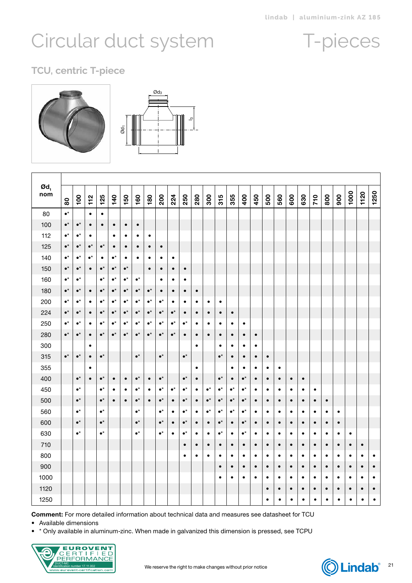### T-pieces

### <span id="page-20-0"></span>**TCU, centric T-piece**





| $\boldsymbol{\mathsf{od}}_\textsf{\scriptsize{1}}$<br>nom | 80              | $\overline{100}$ | 112             | 125             | 140             | 150             | 160             | 180             | 200               | 224             | 250             | 280       | 300             | 315             | 355             | 400             | 450       | 500       | 560       | 600       | 630       | 710       | 800       | 900       | 1000      | 1120      | 1250      |
|-----------------------------------------------------------|-----------------|------------------|-----------------|-----------------|-----------------|-----------------|-----------------|-----------------|-------------------|-----------------|-----------------|-----------|-----------------|-----------------|-----------------|-----------------|-----------|-----------|-----------|-----------|-----------|-----------|-----------|-----------|-----------|-----------|-----------|
| 80                                                        | $\bullet^\star$ |                  | $\bullet$       | $\bullet$       |                 |                 |                 |                 |                   |                 |                 |           |                 |                 |                 |                 |           |           |           |           |           |           |           |           |           |           |           |
| 100                                                       | $\bullet^\star$ | $\bullet^\star$  | $\bullet$       | $\bullet$       | ٠               | $\bullet$       | $\bullet$       |                 |                   |                 |                 |           |                 |                 |                 |                 |           |           |           |           |           |           |           |           |           |           |           |
| 112                                                       | $\bullet^\star$ | $\bullet^\star$  | ٠               |                 | ٠               | ٠               | ٠               | ٠               |                   |                 |                 |           |                 |                 |                 |                 |           |           |           |           |           |           |           |           |           |           |           |
| 125                                                       | $\bullet^\star$ | $\bullet^\star$  | $\bullet^\star$ | $\bullet^\star$ | $\bullet$       | $\bullet$       | $\bullet$       | $\bullet$       | $\bullet$         |                 |                 |           |                 |                 |                 |                 |           |           |           |           |           |           |           |           |           |           |           |
| 140                                                       | $\bullet^\star$ | $\bullet^\star$  | $\bullet^\star$ | ٠               | $\bullet^\star$ | $\bullet$       | ٠               | ٠               | ٠                 | $\bullet$       |                 |           |                 |                 |                 |                 |           |           |           |           |           |           |           |           |           |           |           |
| 150                                                       | $\bullet^\star$ | $\bullet^\star$  | $\bullet$       | $\bullet^\star$ | $\bullet^\star$ | $\bullet^\star$ |                 | $\bullet$       | $\bullet$         | $\bullet$       | $\bullet$       |           |                 |                 |                 |                 |           |           |           |           |           |           |           |           |           |           |           |
| 160                                                       | $\bullet^\star$ | $\bullet^\star$  |                 | $\bullet^\star$ | $\bullet^\star$ | $\bullet^\star$ | $\bullet^\star$ |                 | ٠                 | ٠               | ٠               |           |                 |                 |                 |                 |           |           |           |           |           |           |           |           |           |           |           |
| 180                                                       | $\bullet^\star$ | $\bullet^\star$  | $\bullet$       | $\bullet^\star$ | $\bullet^\star$ | $\bullet^\star$ | $\bullet^\star$ | $\bullet^\star$ | $\bullet$         | $\bullet$       | $\bullet$       | $\bullet$ |                 |                 |                 |                 |           |           |           |           |           |           |           |           |           |           |           |
| 200                                                       | $\bullet^\star$ | $\bullet^\star$  | $\bullet$       | $\bullet^\star$ | $\bullet^\star$ | $\bullet^\star$ | $\bullet^\star$ | $\bullet^\star$ | $\bullet^\star$   | $\bullet$       | $\bullet$       | $\bullet$ | $\bullet$       | $\bullet$       |                 |                 |           |           |           |           |           |           |           |           |           |           |           |
| 224                                                       | $\bullet^\star$ | $\bullet^\star$  | $\bullet$       | $\bullet^\star$ | $\bullet^\star$ | $\bullet^\star$ | $\bullet^\star$ | $\bullet^\star$ | $\bullet^\star$   | $\bullet^\star$ | $\bullet$       | $\bullet$ | $\bullet$       | $\bullet$       | $\bullet$       |                 |           |           |           |           |           |           |           |           |           |           |           |
| 250                                                       | $\bullet^\star$ | $\bullet^\star$  | $\bullet$       | $\bullet^\star$ | $\bullet^\star$ | $\bullet^\star$ | $\bullet^\star$ | $\bullet^\star$ | $\bullet^\star$   | $\bullet^\star$ | $\bullet^\star$ | ٠         | $\bullet$       | $\bullet$       | $\bullet$       | $\bullet$       |           |           |           |           |           |           |           |           |           |           |           |
| 280                                                       | $\bullet^\star$ | $\bullet^\star$  | $\bullet$       | $\bullet^\star$ | $\bullet^\star$ | $\bullet^\star$ | $\bullet^\star$ | $\bullet^\star$ | $\bullet^\star$   | $\bullet^\star$ | $\bullet$       | $\bullet$ | $\bullet$       | $\bullet$       | $\bullet$       | $\bullet$       | $\bullet$ |           |           |           |           |           |           |           |           |           |           |
| 300                                                       |                 |                  | $\bullet$       |                 |                 |                 |                 |                 |                   |                 |                 | $\bullet$ |                 | $\bullet$       | $\bullet$       | $\bullet$       | $\bullet$ |           |           |           |           |           |           |           |           |           |           |
| 315                                                       | $\bullet^\star$ | $\bullet^\star$  | $\bullet$       | $\bullet^\star$ |                 |                 | $\bullet^\star$ |                 | $\bullet^\star$   |                 | $\bullet^\star$ |           |                 | $\bullet^\star$ | $\bullet$       | $\bullet$       | $\bullet$ | $\bullet$ |           |           |           |           |           |           |           |           |           |
| 355                                                       |                 |                  | $\bullet$       |                 |                 |                 |                 |                 |                   |                 |                 | $\bullet$ |                 |                 | $\bullet$       | $\bullet$       | $\bullet$ | $\bullet$ | $\bullet$ |           |           |           |           |           |           |           |           |
| 400                                                       |                 | $\bullet^\star$  | $\bullet$       | $\bullet^\star$ | $\bullet$       | $\bullet$       | $\bullet^\star$ | $\bullet$       | $\bullet^\star$   |                 | $\bullet^\star$ | $\bullet$ |                 | $\bullet^\star$ | $\bullet$       | $\bullet^\star$ | $\bullet$ | $\bullet$ | $\bullet$ | $\bullet$ | $\bullet$ |           |           |           |           |           |           |
| 450                                                       |                 | $\bullet^\star$  |                 | $\bullet^\star$ | $\bullet$       | $\bullet$       | $\bullet^\star$ | $\bullet$       | $\bullet^\star$   | $\bullet^\star$ | $\bullet^\star$ | $\bullet$ | $\bullet^\star$ | $\bullet^\star$ | $\bullet^\star$ | $\bullet^\star$ | $\bullet$ | $\bullet$ | $\bullet$ | $\bullet$ | $\bullet$ | $\bullet$ |           |           |           |           |           |
| 500                                                       |                 | $\bullet^\star$  |                 | $\bullet^\star$ | $\bullet$       | $\bullet$       | $\bullet^\star$ | $\bullet$       | $\bullet^\star$   | $\bullet$       | $\bullet^\star$ | $\bullet$ | $\bullet^\star$ | $\bullet^\star$ | $\bullet^\star$ | $\bullet^\star$ | $\bullet$ | $\bullet$ | $\bullet$ | $\bullet$ | $\bullet$ | $\bullet$ | $\bullet$ |           |           |           |           |
| 560                                                       |                 | $\bullet^\star$  |                 | $\bullet^\star$ |                 |                 | $\bullet^\star$ |                 | $\bullet^\star$   | $\bullet$       | $\bullet^\star$ | $\bullet$ | $\bullet^\star$ | $\bullet^\star$ | $\bullet^\star$ | $\bullet^\star$ | $\bullet$ | $\bullet$ | $\bullet$ | $\bullet$ | $\bullet$ | $\bullet$ | $\bullet$ | $\bullet$ |           |           |           |
| 600                                                       |                 | $\bullet^\star$  |                 | $\bullet^\star$ |                 |                 | $\bullet^\star$ |                 | $\bullet^\star$   | $\bullet$       | $\bullet^\star$ | $\bullet$ | $\bullet$       | $\bullet^\star$ | $\bullet$       | $\bullet^\star$ | $\bullet$ | $\bullet$ | $\bullet$ | $\bullet$ | $\bullet$ | $\bullet$ | $\bullet$ | $\bullet$ |           |           |           |
| 630                                                       |                 | $\bullet^\star$  |                 | $\bullet^\star$ |                 |                 | $\bullet^\star$ |                 | $\bullet^{\star}$ | $\bullet$       | $\bullet^\star$ | $\bullet$ | $\bullet$       | $\bullet^\star$ | $\bullet$       | $\bullet^\star$ | $\bullet$ | $\bullet$ | $\bullet$ | $\bullet$ | $\bullet$ | $\bullet$ | $\bullet$ | $\bullet$ | $\bullet$ |           |           |
| 710                                                       |                 |                  |                 |                 |                 |                 |                 |                 |                   |                 | $\bullet$       | $\bullet$ | $\bullet$       | $\bullet$       | $\bullet$       | $\bullet$       | $\bullet$ | $\bullet$ | $\bullet$ | $\bullet$ | $\bullet$ | $\bullet$ | $\bullet$ | $\bullet$ | $\bullet$ | $\bullet$ |           |
| 800                                                       |                 |                  |                 |                 |                 |                 |                 |                 |                   |                 | $\bullet$       | $\bullet$ | $\bullet$       | $\bullet$       | $\bullet$       | $\bullet$       | $\bullet$ | $\bullet$ | $\bullet$ | $\bullet$ | $\bullet$ | $\bullet$ | $\bullet$ | $\bullet$ | $\bullet$ | $\bullet$ | $\bullet$ |
| 900                                                       |                 |                  |                 |                 |                 |                 |                 |                 |                   |                 |                 |           |                 | $\bullet$       | $\bullet$       | $\bullet$       | $\bullet$ | $\bullet$ | $\bullet$ | $\bullet$ | $\bullet$ | $\bullet$ | $\bullet$ | $\bullet$ | $\bullet$ | $\bullet$ | $\bullet$ |
| 1000                                                      |                 |                  |                 |                 |                 |                 |                 |                 |                   |                 |                 |           |                 | $\bullet$       | $\bullet$       | ٠               | ٠         | ٠         | ٠         | ٠         | ٠         | ٠         | ٠         | ٠         | ٠         | ٠         | ٠         |
| 1120                                                      |                 |                  |                 |                 |                 |                 |                 |                 |                   |                 |                 |           |                 |                 |                 |                 |           | $\bullet$ | $\bullet$ | $\bullet$ | $\bullet$ | $\bullet$ | $\bullet$ | $\bullet$ | $\bullet$ | $\bullet$ | $\bullet$ |
| 1250                                                      |                 |                  |                 |                 |                 |                 |                 |                 |                   |                 |                 |           |                 |                 |                 |                 |           | $\bullet$ | $\bullet$ | ٠         | $\bullet$ | ٠         | ٠         | ٠         | $\bullet$ | ٠         | $\bullet$ |

Comment: For more detailed information about technical data and measures see datasheet for TCU

• Available dimensions

• \* Only available in aluminum-zinc. When made in galvanized this dimension is pressed, see TCPU



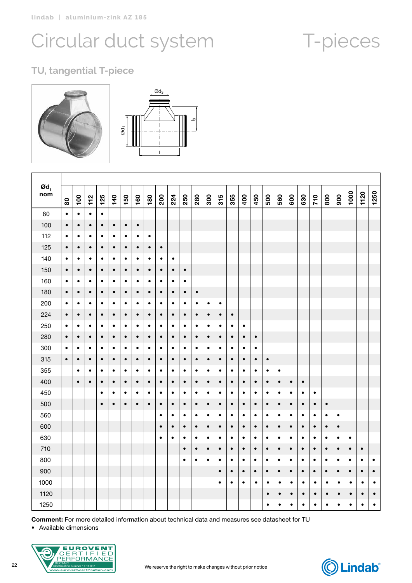## T-pieces

### **TU, tangential T-piece**



| $\boldsymbol{\Theta}$ d <sub>1</sub><br>nom | $\tt{80}$ | $\overline{100}$ | 112       | 125       | 140       | 150       | 160       | 180       | 200       | 224       | 250       | 280       | 300       | 315       | 355       | 400       | 450       | 500       | 560       | 600       | 630       | 710       | 800       | 900       | 1000      | 1120      | 1250      |
|---------------------------------------------|-----------|------------------|-----------|-----------|-----------|-----------|-----------|-----------|-----------|-----------|-----------|-----------|-----------|-----------|-----------|-----------|-----------|-----------|-----------|-----------|-----------|-----------|-----------|-----------|-----------|-----------|-----------|
| 80                                          | $\bullet$ | $\bullet$        | $\bullet$ | $\bullet$ |           |           |           |           |           |           |           |           |           |           |           |           |           |           |           |           |           |           |           |           |           |           |           |
| 100                                         | $\bullet$ | $\bullet$        | $\bullet$ | $\bullet$ | $\bullet$ | $\bullet$ | $\bullet$ |           |           |           |           |           |           |           |           |           |           |           |           |           |           |           |           |           |           |           |           |
| 112                                         | $\bullet$ | $\bullet$        | $\bullet$ | $\bullet$ | $\bullet$ | $\bullet$ | $\bullet$ | $\bullet$ |           |           |           |           |           |           |           |           |           |           |           |           |           |           |           |           |           |           |           |
| 125                                         | $\bullet$ | $\bullet$        | $\bullet$ | $\bullet$ | $\bullet$ | $\bullet$ | $\bullet$ | $\bullet$ | $\bullet$ |           |           |           |           |           |           |           |           |           |           |           |           |           |           |           |           |           |           |
| 140                                         | $\bullet$ | $\bullet$        | $\bullet$ | ٠         | $\bullet$ | $\bullet$ | ٠         | ٠         | ٠         | $\bullet$ |           |           |           |           |           |           |           |           |           |           |           |           |           |           |           |           |           |
| 150                                         | $\bullet$ | $\bullet$        | $\bullet$ | $\bullet$ | $\bullet$ | $\bullet$ | $\bullet$ | $\bullet$ | $\bullet$ | $\bullet$ | $\bullet$ |           |           |           |           |           |           |           |           |           |           |           |           |           |           |           |           |
| 160                                         | $\bullet$ | ٠                | ٠         | ٠         | ٠         | ٠         | ٠         | ٠         | ٠         | ٠         | ٠         |           |           |           |           |           |           |           |           |           |           |           |           |           |           |           |           |
| 180                                         | $\bullet$ | $\bullet$        | $\bullet$ | $\bullet$ | $\bullet$ | $\bullet$ | $\bullet$ | $\bullet$ | $\bullet$ | $\bullet$ | $\bullet$ | $\bullet$ |           |           |           |           |           |           |           |           |           |           |           |           |           |           |           |
| 200                                         | $\bullet$ | $\bullet$        | $\bullet$ | $\bullet$ | $\bullet$ | $\bullet$ | $\bullet$ | $\bullet$ | $\bullet$ | $\bullet$ | $\bullet$ | $\bullet$ | $\bullet$ | $\bullet$ |           |           |           |           |           |           |           |           |           |           |           |           |           |
| 224                                         | $\bullet$ | $\bullet$        | $\bullet$ | $\bullet$ | $\bullet$ | $\bullet$ | $\bullet$ | $\bullet$ | $\bullet$ | $\bullet$ | $\bullet$ | $\bullet$ | $\bullet$ | $\bullet$ | $\bullet$ |           |           |           |           |           |           |           |           |           |           |           |           |
| 250                                         | $\bullet$ | $\bullet$        | $\bullet$ | $\bullet$ | $\bullet$ | $\bullet$ | $\bullet$ | $\bullet$ | $\bullet$ | $\bullet$ | $\bullet$ | $\bullet$ | $\bullet$ | $\bullet$ | $\bullet$ | $\bullet$ |           |           |           |           |           |           |           |           |           |           |           |
| 280                                         | $\bullet$ | $\bullet$        | $\bullet$ | $\bullet$ | $\bullet$ | $\bullet$ | $\bullet$ | $\bullet$ | $\bullet$ | $\bullet$ | $\bullet$ | $\bullet$ | $\bullet$ | $\bullet$ | $\bullet$ | $\bullet$ | $\bullet$ |           |           |           |           |           |           |           |           |           |           |
| 300                                         | $\bullet$ | ٠                | ٠         | $\bullet$ | $\bullet$ | $\bullet$ | $\bullet$ | $\bullet$ | ٠         | $\bullet$ | ٠         | ٠         | $\bullet$ | $\bullet$ | $\bullet$ | $\bullet$ | $\bullet$ |           |           |           |           |           |           |           |           |           |           |
| 315                                         | $\bullet$ | $\bullet$        | $\bullet$ | $\bullet$ | $\bullet$ | $\bullet$ | $\bullet$ | $\bullet$ | $\bullet$ | $\bullet$ | $\bullet$ | $\bullet$ | $\bullet$ | $\bullet$ | $\bullet$ | $\bullet$ | $\bullet$ | $\bullet$ |           |           |           |           |           |           |           |           |           |
| 355                                         |           | $\bullet$        | $\bullet$ | $\bullet$ | $\bullet$ | $\bullet$ | $\bullet$ | $\bullet$ | $\bullet$ | $\bullet$ | $\bullet$ | $\bullet$ | $\bullet$ | $\bullet$ | $\bullet$ | $\bullet$ | $\bullet$ | $\bullet$ | $\bullet$ |           |           |           |           |           |           |           |           |
| 400                                         |           | $\bullet$        | $\bullet$ | $\bullet$ | $\bullet$ | $\bullet$ | $\bullet$ | $\bullet$ | $\bullet$ | $\bullet$ | $\bullet$ | $\bullet$ | $\bullet$ | $\bullet$ | $\bullet$ | $\bullet$ | $\bullet$ | $\bullet$ | $\bullet$ | $\bullet$ | $\bullet$ |           |           |           |           |           |           |
| 450                                         |           |                  |           | $\bullet$ | ٠         | $\bullet$ | $\bullet$ | $\bullet$ | ٠         | $\bullet$ | $\bullet$ | $\bullet$ | ٠         | $\bullet$ | $\bullet$ | $\bullet$ | $\bullet$ | $\bullet$ | $\bullet$ | $\bullet$ | $\bullet$ | $\bullet$ |           |           |           |           |           |
| 500                                         |           |                  |           | $\bullet$ | $\bullet$ | $\bullet$ | $\bullet$ | $\bullet$ | $\bullet$ | $\bullet$ | $\bullet$ | $\bullet$ | $\bullet$ | $\bullet$ | $\bullet$ | $\bullet$ | $\bullet$ | $\bullet$ | $\bullet$ | $\bullet$ | $\bullet$ | $\bullet$ | $\bullet$ |           |           |           |           |
| 560                                         |           |                  |           |           |           |           |           |           | $\bullet$ | $\bullet$ | ٠         | $\bullet$ | ٠         | $\bullet$ | $\bullet$ | ٠         | $\bullet$ | $\bullet$ | $\bullet$ | ٠         | ٠         | ٠         | $\bullet$ | ٠         |           |           |           |
| 600                                         |           |                  |           |           |           |           |           |           | $\bullet$ | $\bullet$ | ٠         | $\bullet$ | $\bullet$ | $\bullet$ | $\bullet$ | $\bullet$ | $\bullet$ | $\bullet$ | $\bullet$ | $\bullet$ | $\bullet$ | $\bullet$ | $\bullet$ | $\bullet$ |           |           |           |
| 630                                         |           |                  |           |           |           |           |           |           | $\bullet$ | $\bullet$ | $\bullet$ | $\bullet$ | $\bullet$ | $\bullet$ | $\bullet$ | $\bullet$ | $\bullet$ | $\bullet$ | $\bullet$ | $\bullet$ | $\bullet$ | ٠         | $\bullet$ | $\bullet$ | $\bullet$ |           |           |
| 710                                         |           |                  |           |           |           |           |           |           |           |           | $\bullet$ | $\bullet$ | $\bullet$ | $\bullet$ | $\bullet$ | $\bullet$ | $\bullet$ | $\bullet$ | $\bullet$ | $\bullet$ | $\bullet$ | $\bullet$ | $\bullet$ | $\bullet$ | $\bullet$ | $\bullet$ |           |
| 800                                         |           |                  |           |           |           |           |           |           |           |           | $\bullet$ | $\bullet$ | $\bullet$ | $\bullet$ | $\bullet$ | $\bullet$ | $\bullet$ | $\bullet$ | $\bullet$ | $\bullet$ | $\bullet$ | $\bullet$ | $\bullet$ | $\bullet$ | $\bullet$ | $\bullet$ | $\bullet$ |
| 900                                         |           |                  |           |           |           |           |           |           |           |           |           |           |           | $\bullet$ | $\bullet$ | $\bullet$ | $\bullet$ | $\bullet$ | $\bullet$ | $\bullet$ | $\bullet$ | $\bullet$ | $\bullet$ | $\bullet$ | $\bullet$ | $\bullet$ | $\bullet$ |
| 1000                                        |           |                  |           |           |           |           |           |           |           |           |           |           |           | $\bullet$ | $\bullet$ | $\bullet$ | $\bullet$ | $\bullet$ | $\bullet$ | $\bullet$ | $\bullet$ | $\bullet$ | $\bullet$ | $\bullet$ | $\bullet$ | $\bullet$ | $\bullet$ |
| 1120                                        |           |                  |           |           |           |           |           |           |           |           |           |           |           |           |           |           |           | $\bullet$ | $\bullet$ | $\bullet$ | $\bullet$ | $\bullet$ | $\bullet$ | $\bullet$ | $\bullet$ | $\bullet$ | $\bullet$ |
| 1250                                        |           |                  |           |           |           |           |           |           |           |           |           |           |           |           |           |           |           | $\bullet$ | $\bullet$ | $\bullet$ | $\bullet$ | $\bullet$ | $\bullet$ | $\bullet$ | $\bullet$ | $\bullet$ | $\bullet$ |

Comment: For more detailed information about technical data and measures see datasheet for TU

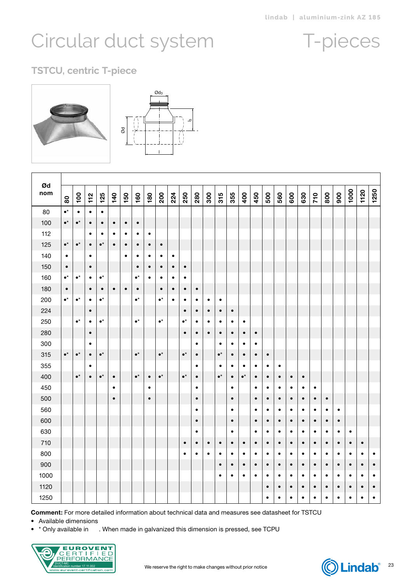### T-pieces

### **TSTCU, centric T-piece**





| Ød         |                 |                  |           |                 |           |           |                 |           |                 |           |                 |                        |           |                 |                        |                 |                        |                        |                        |                        |                        |                        |                        |                        |           |           |           |
|------------|-----------------|------------------|-----------|-----------------|-----------|-----------|-----------------|-----------|-----------------|-----------|-----------------|------------------------|-----------|-----------------|------------------------|-----------------|------------------------|------------------------|------------------------|------------------------|------------------------|------------------------|------------------------|------------------------|-----------|-----------|-----------|
| nom        | $\tt{8}$        | $\overline{100}$ | 112       | 125             | 140       | 150       | 160             | 180       | 200             | 224       | 250             | 280                    | 300       | 315             | 355                    | 400             | 450                    | 500                    | 560                    | 600                    | 630                    | 710                    | 800                    | 900                    | 1000      | 1120      | 1250      |
| 80         | $\bullet^\star$ | $\bullet$        | $\bullet$ | $\bullet$       |           |           |                 |           |                 |           |                 |                        |           |                 |                        |                 |                        |                        |                        |                        |                        |                        |                        |                        |           |           |           |
| 100        | $\bullet^\star$ | $\bullet^\star$  | $\bullet$ | $\bullet$       | $\bullet$ | $\bullet$ | $\bullet$       |           |                 |           |                 |                        |           |                 |                        |                 |                        |                        |                        |                        |                        |                        |                        |                        |           |           |           |
| 112        |                 |                  | $\bullet$ | $\bullet$       | $\bullet$ | $\bullet$ | $\bullet$       | $\bullet$ |                 |           |                 |                        |           |                 |                        |                 |                        |                        |                        |                        |                        |                        |                        |                        |           |           |           |
| 125        | $\bullet^\star$ | $\bullet^\star$  | $\bullet$ | $\bullet^\star$ | $\bullet$ | $\bullet$ | $\bullet$       | $\bullet$ | $\bullet$       |           |                 |                        |           |                 |                        |                 |                        |                        |                        |                        |                        |                        |                        |                        |           |           |           |
| 140        | $\bullet$       |                  | $\bullet$ |                 |           | $\bullet$ | $\bullet$       | $\bullet$ | $\bullet$       | $\bullet$ |                 |                        |           |                 |                        |                 |                        |                        |                        |                        |                        |                        |                        |                        |           |           |           |
| 150        | $\bullet$       |                  | $\bullet$ |                 |           |           | $\bullet$       | $\bullet$ | $\bullet$       | $\bullet$ | $\bullet$       |                        |           |                 |                        |                 |                        |                        |                        |                        |                        |                        |                        |                        |           |           |           |
| 160        | $\bullet^\star$ | $\bullet^\star$  | $\bullet$ | $\bullet^\star$ |           |           | $\bullet^\star$ | $\bullet$ | $\bullet$       | $\bullet$ | $\bullet$       |                        |           |                 |                        |                 |                        |                        |                        |                        |                        |                        |                        |                        |           |           |           |
| 180        | $\bullet$       |                  | $\bullet$ | $\bullet$       | $\bullet$ | $\bullet$ | $\bullet$       |           | $\bullet$       | $\bullet$ | $\bullet$       | $\bullet$              |           |                 |                        |                 |                        |                        |                        |                        |                        |                        |                        |                        |           |           |           |
| 200        | $\bullet^\star$ | $\bullet^\star$  | $\bullet$ | $\bullet^\star$ |           |           | $\bullet^\star$ |           | $\bullet^\star$ | $\bullet$ | $\bullet$       | $\bullet$              | $\bullet$ | $\bullet$       |                        |                 |                        |                        |                        |                        |                        |                        |                        |                        |           |           |           |
| 224        |                 |                  | $\bullet$ |                 |           |           |                 |           |                 |           | $\bullet$       | $\bullet$              | $\bullet$ | $\bullet$       | $\bullet$              |                 |                        |                        |                        |                        |                        |                        |                        |                        |           |           |           |
| 250        |                 | $\bullet^\star$  | $\bullet$ | $\bullet^\star$ |           |           | $\bullet^\star$ |           | $\bullet^\star$ |           | $\bullet^\star$ | ٠                      | ٠         | $\bullet$       | $\bullet$              | $\bullet$       |                        |                        |                        |                        |                        |                        |                        |                        |           |           |           |
| 280        |                 |                  | $\bullet$ |                 |           |           |                 |           |                 |           | $\bullet$       | $\bullet$              | $\bullet$ | $\bullet$       | $\bullet$              | $\bullet$       | $\bullet$              |                        |                        |                        |                        |                        |                        |                        |           |           |           |
| 300        |                 |                  | $\bullet$ |                 |           |           |                 |           |                 |           |                 | ٠                      |           | $\bullet$       | ٠                      | ٠               | $\bullet$              |                        |                        |                        |                        |                        |                        |                        |           |           |           |
| 315        | $\bullet^\star$ | $\bullet^\star$  | $\bullet$ | $\bullet^\star$ |           |           | $\bullet^\star$ |           | $\bullet^\star$ |           | $\bullet^\star$ | $\bullet$              |           | $\bullet^\star$ | $\bullet$              | $\bullet$       | $\bullet$              | $\bullet$              |                        |                        |                        |                        |                        |                        |           |           |           |
| 355        |                 |                  | ٠         |                 |           |           |                 |           |                 |           |                 | $\bullet$              |           | $\bullet$       | ٠                      | ٠               | $\bullet$              | ٠                      | ٠                      |                        |                        |                        |                        |                        |           |           |           |
| 400        |                 | $\bullet^\star$  | $\bullet$ | $\bullet^\star$ | $\bullet$ |           | $\bullet^\star$ | $\bullet$ | $\bullet^\star$ |           | $\bullet^\star$ | $\bullet$              |           | $\bullet^\star$ | $\bullet$              | $\bullet^\star$ | $\bullet$              | $\bullet$              | $\bullet$              | $\bullet$              | $\bullet$              |                        |                        |                        |           |           |           |
| 450        |                 |                  |           |                 | $\bullet$ |           |                 | $\bullet$ |                 |           |                 | $\bullet$              |           |                 | $\bullet$              |                 | $\bullet$              | $\bullet$              | $\bullet$              | $\bullet$              | $\bullet$              | $\bullet$              |                        |                        |           |           |           |
| 500<br>560 |                 |                  |           |                 | $\bullet$ |           |                 | $\bullet$ |                 |           |                 | $\bullet$              |           |                 | $\bullet$              |                 | $\bullet$              | $\bullet$              | $\bullet$              | $\bullet$              | $\bullet$              | $\bullet$              | $\bullet$              |                        |           |           |           |
|            |                 |                  |           |                 |           |           |                 |           |                 |           |                 | $\bullet$              |           |                 | $\bullet$              |                 | $\bullet$              | $\bullet$              | $\bullet$              | $\bullet$              | $\bullet$              | $\bullet$              | $\bullet$              | $\bullet$              |           |           |           |
| 600<br>630 |                 |                  |           |                 |           |           |                 |           |                 |           |                 | $\bullet$<br>$\bullet$ |           |                 | $\bullet$<br>$\bullet$ |                 | $\bullet$<br>$\bullet$ | $\bullet$<br>$\bullet$ | $\bullet$<br>$\bullet$ | $\bullet$<br>$\bullet$ | $\bullet$<br>$\bullet$ | $\bullet$<br>$\bullet$ | $\bullet$<br>$\bullet$ | $\bullet$<br>$\bullet$ | $\bullet$ |           |           |
| 710        |                 |                  |           |                 |           |           |                 |           |                 |           | $\bullet$       | $\bullet$              | $\bullet$ | $\bullet$       | $\bullet$              | $\bullet$       | $\bullet$              | $\bullet$              | $\bullet$              | $\bullet$              | $\bullet$              | $\bullet$              | $\bullet$              | $\bullet$              | $\bullet$ | $\bullet$ |           |
| 800        |                 |                  |           |                 |           |           |                 |           |                 |           | $\bullet$       | $\bullet$              | $\bullet$ | $\bullet$       | $\bullet$              | $\bullet$       | $\bullet$              | $\bullet$              | $\bullet$              | $\bullet$              | $\bullet$              | $\bullet$              | $\bullet$              | $\bullet$              | $\bullet$ | $\bullet$ | $\bullet$ |
| 900        |                 |                  |           |                 |           |           |                 |           |                 |           |                 |                        |           | $\bullet$       | $\bullet$              | $\bullet$       | $\bullet$              | $\bullet$              | $\bullet$              | $\bullet$              | $\bullet$              | $\bullet$              | $\bullet$              | $\bullet$              | $\bullet$ | $\bullet$ | $\bullet$ |
| 1000       |                 |                  |           |                 |           |           |                 |           |                 |           |                 |                        |           | $\bullet$       | $\bullet$              | $\bullet$       | $\bullet$              | $\bullet$              | $\bullet$              | $\bullet$              | $\bullet$              | $\bullet$              | $\bullet$              | $\bullet$              | $\bullet$ | $\bullet$ | $\bullet$ |
| 1120       |                 |                  |           |                 |           |           |                 |           |                 |           |                 |                        |           |                 |                        |                 |                        | $\bullet$              | $\bullet$              | $\bullet$              | $\bullet$              | $\bullet$              | $\bullet$              | $\bullet$              | $\bullet$ | $\bullet$ | $\bullet$ |
| 1250       |                 |                  |           |                 |           |           |                 |           |                 |           |                 |                        |           |                 |                        |                 |                        | $\bullet$              | $\bullet$              | $\bullet$              | $\bullet$              | $\bullet$              | $\bullet$              | $\bullet$              | $\bullet$ | $\bullet$ | $\bullet$ |

Comment: For more detailed information about technical data and measures see datasheet for TSTCU

• Available dimensions

• \* Only available in . When made in galvanized this dimension is pressed, see TCPU



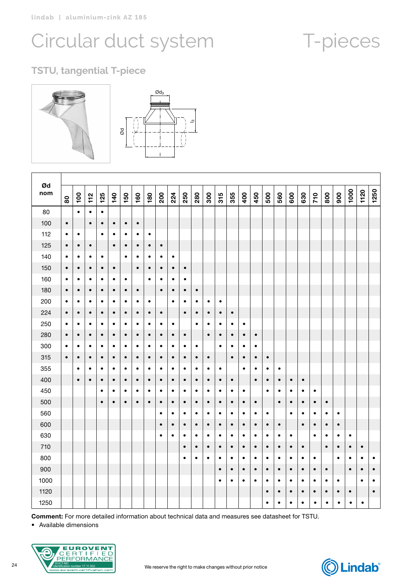## T-pieces

### **TSTU, tangential T-piece**



| Ød<br>nom | 80        | 100       | $\frac{1}{2}$ | 125       | 140       | 150       | 160       | 180       | 200       | 224       | 250       | 280       | 300       | 315       | 355       | 400       | 450       | 500       | 560       | 600       | 630       | 710       | 800       | 900       | 1000      | 1120      | 1250      |
|-----------|-----------|-----------|---------------|-----------|-----------|-----------|-----------|-----------|-----------|-----------|-----------|-----------|-----------|-----------|-----------|-----------|-----------|-----------|-----------|-----------|-----------|-----------|-----------|-----------|-----------|-----------|-----------|
| 80        |           | $\bullet$ | $\bullet$     | $\bullet$ |           |           |           |           |           |           |           |           |           |           |           |           |           |           |           |           |           |           |           |           |           |           |           |
| 100       | $\bullet$ |           | $\bullet$     | $\bullet$ | $\bullet$ | $\bullet$ | $\bullet$ |           |           |           |           |           |           |           |           |           |           |           |           |           |           |           |           |           |           |           |           |
| 112       | $\bullet$ | $\bullet$ |               | $\bullet$ | ٠         | $\bullet$ | ٠         | $\bullet$ |           |           |           |           |           |           |           |           |           |           |           |           |           |           |           |           |           |           |           |
| 125       | $\bullet$ | $\bullet$ | $\bullet$     |           | $\bullet$ | $\bullet$ | $\bullet$ | $\bullet$ | $\bullet$ |           |           |           |           |           |           |           |           |           |           |           |           |           |           |           |           |           |           |
| 140       | $\bullet$ | $\bullet$ | ٠             | $\bullet$ |           | $\bullet$ | ٠         | ٠         | ٠         | $\bullet$ |           |           |           |           |           |           |           |           |           |           |           |           |           |           |           |           |           |
| 150       | $\bullet$ | $\bullet$ | $\bullet$     | $\bullet$ | $\bullet$ |           | $\bullet$ | $\bullet$ | $\bullet$ | $\bullet$ | $\bullet$ |           |           |           |           |           |           |           |           |           |           |           |           |           |           |           |           |
| 160       | $\bullet$ | ٠         | ٠             | $\bullet$ | ٠         | ٠         |           | $\bullet$ | $\bullet$ | ٠         | ٠         |           |           |           |           |           |           |           |           |           |           |           |           |           |           |           |           |
| 180       | $\bullet$ | $\bullet$ | $\bullet$     | $\bullet$ | $\bullet$ | $\bullet$ | $\bullet$ |           | $\bullet$ | $\bullet$ | $\bullet$ | $\bullet$ |           |           |           |           |           |           |           |           |           |           |           |           |           |           |           |
| 200       | $\bullet$ | $\bullet$ | $\bullet$     | $\bullet$ | $\bullet$ | $\bullet$ | ٠         | ٠         |           | $\bullet$ | $\bullet$ | $\bullet$ | $\bullet$ | $\bullet$ |           |           |           |           |           |           |           |           |           |           |           |           |           |
| 224       | $\bullet$ | $\bullet$ | $\bullet$     | $\bullet$ | $\bullet$ | $\bullet$ | $\bullet$ | $\bullet$ | $\bullet$ |           | $\bullet$ | $\bullet$ | $\bullet$ | $\bullet$ | $\bullet$ |           |           |           |           |           |           |           |           |           |           |           |           |
| 250       | $\bullet$ | $\bullet$ | $\bullet$     | $\bullet$ | ٠         | $\bullet$ | $\bullet$ | $\bullet$ | $\bullet$ | ٠         |           | $\bullet$ | $\bullet$ | $\bullet$ | $\bullet$ | $\bullet$ |           |           |           |           |           |           |           |           |           |           |           |
| 280       | $\bullet$ | $\bullet$ | $\bullet$     | $\bullet$ | $\bullet$ | $\bullet$ | $\bullet$ | $\bullet$ | $\bullet$ | $\bullet$ | $\bullet$ |           | $\bullet$ | $\bullet$ | $\bullet$ | $\bullet$ | $\bullet$ |           |           |           |           |           |           |           |           |           |           |
| 300       | $\bullet$ | $\bullet$ | $\bullet$     | $\bullet$ | $\bullet$ | $\bullet$ | $\bullet$ | $\bullet$ | $\bullet$ | $\bullet$ | $\bullet$ | $\bullet$ |           | $\bullet$ | $\bullet$ | $\bullet$ | $\bullet$ |           |           |           |           |           |           |           |           |           |           |
| 315       | $\bullet$ | $\bullet$ | $\bullet$     | $\bullet$ | $\bullet$ | $\bullet$ | $\bullet$ | $\bullet$ | $\bullet$ | $\bullet$ | $\bullet$ | $\bullet$ | $\bullet$ |           | $\bullet$ | $\bullet$ | $\bullet$ | $\bullet$ |           |           |           |           |           |           |           |           |           |
| 355       |           | $\bullet$ | $\bullet$     | $\bullet$ | $\bullet$ | $\bullet$ | $\bullet$ | $\bullet$ | $\bullet$ | ٠         | $\bullet$ | ٠         | $\bullet$ | $\bullet$ |           | $\bullet$ | $\bullet$ | $\bullet$ | $\bullet$ |           |           |           |           |           |           |           |           |
| 400       |           | $\bullet$ | $\bullet$     | $\bullet$ | $\bullet$ | $\bullet$ | $\bullet$ | $\bullet$ | $\bullet$ | $\bullet$ | $\bullet$ | $\bullet$ | $\bullet$ | $\bullet$ | $\bullet$ |           | $\bullet$ | $\bullet$ | $\bullet$ | $\bullet$ | $\bullet$ |           |           |           |           |           |           |
| 450       |           |           |               | $\bullet$ | $\bullet$ | $\bullet$ | $\bullet$ | $\bullet$ | $\bullet$ | $\bullet$ | $\bullet$ | $\bullet$ | $\bullet$ | $\bullet$ | $\bullet$ | $\bullet$ |           | $\bullet$ | $\bullet$ | $\bullet$ | $\bullet$ | $\bullet$ |           |           |           |           |           |
| 500       |           |           |               | $\bullet$ | $\bullet$ | $\bullet$ | $\bullet$ | $\bullet$ | $\bullet$ | $\bullet$ | $\bullet$ | $\bullet$ | $\bullet$ | $\bullet$ | $\bullet$ | $\bullet$ | $\bullet$ |           | $\bullet$ | $\bullet$ | $\bullet$ | $\bullet$ | $\bullet$ |           |           |           |           |
| 560       |           |           |               |           |           |           |           |           | $\bullet$ | ٠         | ٠         | ٠         | ٠         | $\bullet$ | ٠         | ٠         | $\bullet$ | $\bullet$ |           | $\bullet$ | $\bullet$ | ٠         | ٠         | ٠         |           |           |           |
| 600       |           |           |               |           |           |           |           |           | $\bullet$ | $\bullet$ | $\bullet$ | $\bullet$ | $\bullet$ | $\bullet$ | $\bullet$ | $\bullet$ | $\bullet$ | $\bullet$ | $\bullet$ |           | $\bullet$ | $\bullet$ | $\bullet$ | $\bullet$ |           |           |           |
| 630       |           |           |               |           |           |           |           |           | $\bullet$ | $\bullet$ | ٠         | ٠         | ٠         | $\bullet$ | $\bullet$ | $\bullet$ | $\bullet$ | $\bullet$ | $\bullet$ | $\bullet$ |           | $\bullet$ | ٠         | ٠         | $\bullet$ |           |           |
| 710       |           |           |               |           |           |           |           |           |           |           | $\bullet$ | $\bullet$ | $\bullet$ | $\bullet$ | $\bullet$ | $\bullet$ | $\bullet$ | $\bullet$ | $\bullet$ | $\bullet$ | $\bullet$ |           | $\bullet$ | $\bullet$ | $\bullet$ | $\bullet$ |           |
| 800       |           |           |               |           |           |           |           |           |           |           | $\bullet$ | ٠         | ٠         | $\bullet$ | $\bullet$ | ٠         | $\bullet$ | ٠         | $\bullet$ | $\bullet$ | ٠         | ٠         |           | ٠         | ٠         | ٠         | $\bullet$ |
| 900       |           |           |               |           |           |           |           |           |           |           |           |           |           | $\bullet$ | $\bullet$ | $\bullet$ | $\bullet$ | $\bullet$ | $\bullet$ | $\bullet$ | $\bullet$ | $\bullet$ | $\bullet$ |           | $\bullet$ | $\bullet$ | $\bullet$ |
| 1000      |           |           |               |           |           |           |           |           |           |           |           |           |           | $\bullet$ | $\bullet$ | $\bullet$ | $\bullet$ | $\bullet$ | $\bullet$ | $\bullet$ | $\bullet$ | ٠         | ٠         | $\bullet$ |           | $\bullet$ | $\bullet$ |
| 1120      |           |           |               |           |           |           |           |           |           |           |           |           |           |           |           |           |           | $\bullet$ | $\bullet$ | $\bullet$ | $\bullet$ | $\bullet$ | $\bullet$ | $\bullet$ | $\bullet$ |           | $\bullet$ |
| 1250      |           |           |               |           |           |           |           |           |           |           |           |           |           |           |           |           |           | $\bullet$ | $\bullet$ | $\bullet$ | ٠         | $\bullet$ | $\bullet$ | $\bullet$ | $\bullet$ | $\bullet$ |           |

Comment: For more detailed information about technical data and measures see datasheet for TSTU.

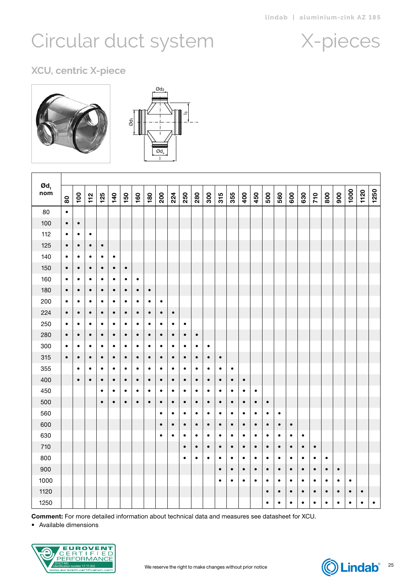### X-pieces

<span id="page-24-0"></span>**XCU, centric X-piece**



| $\boldsymbol{\mathsf{od}}_1$<br>nom | $\tt{80}$ | $\overline{100}$ | 112       | 125       | 140       | 150       | 160       | 180       | 200       | 224       | 250       | 280       | 300       | 315       | 355       | 400       | 450       | 500       | 560       | 600       | 630       | 710       | 800       | 900       | 1000      | 1120      | 1250 |
|-------------------------------------|-----------|------------------|-----------|-----------|-----------|-----------|-----------|-----------|-----------|-----------|-----------|-----------|-----------|-----------|-----------|-----------|-----------|-----------|-----------|-----------|-----------|-----------|-----------|-----------|-----------|-----------|------|
| 80                                  | $\bullet$ |                  |           |           |           |           |           |           |           |           |           |           |           |           |           |           |           |           |           |           |           |           |           |           |           |           |      |
| 100                                 | $\bullet$ | $\bullet$        |           |           |           |           |           |           |           |           |           |           |           |           |           |           |           |           |           |           |           |           |           |           |           |           |      |
| 112                                 | $\bullet$ | ٠                | ٠         |           |           |           |           |           |           |           |           |           |           |           |           |           |           |           |           |           |           |           |           |           |           |           |      |
| 125                                 | $\bullet$ | $\bullet$        | $\bullet$ | $\bullet$ |           |           |           |           |           |           |           |           |           |           |           |           |           |           |           |           |           |           |           |           |           |           |      |
| 140                                 | $\bullet$ | $\bullet$        | $\bullet$ | $\bullet$ | $\bullet$ |           |           |           |           |           |           |           |           |           |           |           |           |           |           |           |           |           |           |           |           |           |      |
| 150                                 | $\bullet$ | $\bullet$        | $\bullet$ | $\bullet$ | $\bullet$ | $\bullet$ |           |           |           |           |           |           |           |           |           |           |           |           |           |           |           |           |           |           |           |           |      |
| 160                                 | $\bullet$ | $\bullet$        | $\bullet$ | $\bullet$ | $\bullet$ | $\bullet$ | $\bullet$ |           |           |           |           |           |           |           |           |           |           |           |           |           |           |           |           |           |           |           |      |
| 180                                 | $\bullet$ | $\bullet$        | $\bullet$ | $\bullet$ | $\bullet$ | $\bullet$ | $\bullet$ | $\bullet$ |           |           |           |           |           |           |           |           |           |           |           |           |           |           |           |           |           |           |      |
| 200                                 | $\bullet$ | ٠                | $\bullet$ | $\bullet$ | $\bullet$ | $\bullet$ | $\bullet$ | $\bullet$ | $\bullet$ |           |           |           |           |           |           |           |           |           |           |           |           |           |           |           |           |           |      |
| 224                                 | $\bullet$ | $\bullet$        | $\bullet$ | $\bullet$ | $\bullet$ | $\bullet$ | $\bullet$ | $\bullet$ | $\bullet$ | $\bullet$ |           |           |           |           |           |           |           |           |           |           |           |           |           |           |           |           |      |
| 250                                 | $\bullet$ | $\bullet$        | $\bullet$ | $\bullet$ | $\bullet$ | $\bullet$ | $\bullet$ | $\bullet$ | $\bullet$ | $\bullet$ | ٠         |           |           |           |           |           |           |           |           |           |           |           |           |           |           |           |      |
| 280                                 | $\bullet$ | $\bullet$        | $\bullet$ | $\bullet$ | $\bullet$ | $\bullet$ | $\bullet$ | $\bullet$ | $\bullet$ | $\bullet$ | $\bullet$ | $\bullet$ |           |           |           |           |           |           |           |           |           |           |           |           |           |           |      |
| 300                                 | $\bullet$ | $\bullet$        | $\bullet$ | $\bullet$ | $\bullet$ | $\bullet$ | $\bullet$ | $\bullet$ | $\bullet$ | $\bullet$ | $\bullet$ | $\bullet$ | $\bullet$ |           |           |           |           |           |           |           |           |           |           |           |           |           |      |
| 315                                 | $\bullet$ | $\bullet$        | $\bullet$ | $\bullet$ | $\bullet$ | $\bullet$ | $\bullet$ | $\bullet$ | $\bullet$ | $\bullet$ | $\bullet$ | $\bullet$ | $\bullet$ | $\bullet$ |           |           |           |           |           |           |           |           |           |           |           |           |      |
| 355                                 |           | $\bullet$        | ٠         | $\bullet$ | $\bullet$ | $\bullet$ | $\bullet$ | $\bullet$ | $\bullet$ | $\bullet$ | $\bullet$ | $\bullet$ | $\bullet$ | $\bullet$ | $\bullet$ |           |           |           |           |           |           |           |           |           |           |           |      |
| 400                                 |           | $\bullet$        | $\bullet$ | $\bullet$ | $\bullet$ | $\bullet$ | $\bullet$ | $\bullet$ | $\bullet$ | $\bullet$ | $\bullet$ | $\bullet$ | $\bullet$ | $\bullet$ | $\bullet$ | $\bullet$ |           |           |           |           |           |           |           |           |           |           |      |
| 450                                 |           |                  |           | $\bullet$ | $\bullet$ | $\bullet$ | $\bullet$ | $\bullet$ | $\bullet$ | $\bullet$ | $\bullet$ | $\bullet$ | ٠         | $\bullet$ | $\bullet$ | $\bullet$ | $\bullet$ |           |           |           |           |           |           |           |           |           |      |
| 500                                 |           |                  |           | $\bullet$ | $\bullet$ | $\bullet$ | $\bullet$ | $\bullet$ | $\bullet$ | $\bullet$ | $\bullet$ | $\bullet$ | $\bullet$ | $\bullet$ | $\bullet$ | $\bullet$ | $\bullet$ | $\bullet$ |           |           |           |           |           |           |           |           |      |
| 560                                 |           |                  |           |           |           |           |           |           | $\bullet$ | $\bullet$ | ٠         | $\bullet$ | ٠         | ٠         | ٠         | ٠         | $\bullet$ | $\bullet$ | $\bullet$ |           |           |           |           |           |           |           |      |
| 600                                 |           |                  |           |           |           |           |           |           | $\bullet$ | $\bullet$ | $\bullet$ | $\bullet$ | $\bullet$ | $\bullet$ | $\bullet$ | $\bullet$ | $\bullet$ | $\bullet$ | $\bullet$ | $\bullet$ |           |           |           |           |           |           |      |
| 630                                 |           |                  |           |           |           |           |           |           | $\bullet$ | $\bullet$ | $\bullet$ | $\bullet$ | $\bullet$ | $\bullet$ | $\bullet$ | $\bullet$ | $\bullet$ | $\bullet$ | $\bullet$ | $\bullet$ | $\bullet$ |           |           |           |           |           |      |
| 710                                 |           |                  |           |           |           |           |           |           |           |           | $\bullet$ | $\bullet$ | $\bullet$ | $\bullet$ | $\bullet$ | $\bullet$ | $\bullet$ | $\bullet$ | $\bullet$ | $\bullet$ | $\bullet$ | $\bullet$ |           |           |           |           |      |
| 800                                 |           |                  |           |           |           |           |           |           |           |           | $\bullet$ | $\bullet$ | $\bullet$ | $\bullet$ | $\bullet$ | $\bullet$ | $\bullet$ | $\bullet$ | $\bullet$ | $\bullet$ | $\bullet$ | $\bullet$ | $\bullet$ |           |           |           |      |
| 900                                 |           |                  |           |           |           |           |           |           |           |           |           |           |           | $\bullet$ | $\bullet$ | $\bullet$ | $\bullet$ | $\bullet$ | $\bullet$ | $\bullet$ | $\bullet$ | $\bullet$ | $\bullet$ | $\bullet$ |           |           |      |
| 1000                                |           |                  |           |           |           |           |           |           |           |           |           |           |           | $\bullet$ | $\bullet$ | $\bullet$ | $\bullet$ | $\bullet$ | $\bullet$ | $\bullet$ | $\bullet$ | $\bullet$ | $\bullet$ | $\bullet$ | $\bullet$ |           |      |
| 1120                                |           |                  |           |           |           |           |           |           |           |           |           |           |           |           |           |           |           | $\bullet$ | $\bullet$ | $\bullet$ | $\bullet$ | $\bullet$ | $\bullet$ | $\bullet$ | $\bullet$ | $\bullet$ |      |
| 1250                                |           |                  |           |           |           |           |           |           |           |           |           |           |           |           |           |           |           | $\bullet$ | $\bullet$ | $\bullet$ | $\bullet$ | $\bullet$ | $\bullet$ | $\bullet$ | $\bullet$ | $\bullet$ | ٠    |

 $\overline{3}$ 

Comment: For more detailed information about technical data and measures see datasheet for XCU.



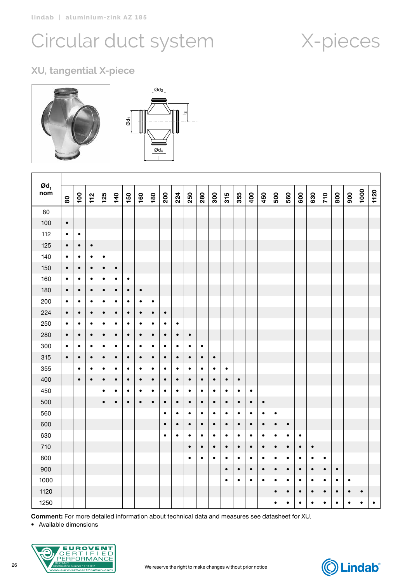## Circular duct system X-pieces

### **XU, tangential X-piece**



| $\boldsymbol{\mathsf{od}}_\textsf{\tiny 1}$<br>nom | $\bf{80}$ | $\overline{100}$ | 112       | 125       | 140       | 150       | 160       | 180       | 200       | 224       | 250       | 280       | 300       | 315       | 355       | 400       | 450       | 500       | 560       | 600       | 630       | 710       | 800       | 900       | 1000      | 1120      |
|----------------------------------------------------|-----------|------------------|-----------|-----------|-----------|-----------|-----------|-----------|-----------|-----------|-----------|-----------|-----------|-----------|-----------|-----------|-----------|-----------|-----------|-----------|-----------|-----------|-----------|-----------|-----------|-----------|
| 80                                                 |           |                  |           |           |           |           |           |           |           |           |           |           |           |           |           |           |           |           |           |           |           |           |           |           |           |           |
| 100                                                | $\bullet$ |                  |           |           |           |           |           |           |           |           |           |           |           |           |           |           |           |           |           |           |           |           |           |           |           |           |
| 112                                                | $\bullet$ | $\bullet$        |           |           |           |           |           |           |           |           |           |           |           |           |           |           |           |           |           |           |           |           |           |           |           |           |
| 125                                                | $\bullet$ | $\bullet$        | $\bullet$ |           |           |           |           |           |           |           |           |           |           |           |           |           |           |           |           |           |           |           |           |           |           |           |
| 140                                                | $\bullet$ | $\bullet$        | $\bullet$ | $\bullet$ |           |           |           |           |           |           |           |           |           |           |           |           |           |           |           |           |           |           |           |           |           |           |
| 150                                                | $\bullet$ | $\bullet$        | $\bullet$ | $\bullet$ | $\bullet$ |           |           |           |           |           |           |           |           |           |           |           |           |           |           |           |           |           |           |           |           |           |
| 160                                                | $\bullet$ | $\bullet$        | $\bullet$ | $\bullet$ | $\bullet$ | $\bullet$ |           |           |           |           |           |           |           |           |           |           |           |           |           |           |           |           |           |           |           |           |
| 180                                                | $\bullet$ | $\bullet$        | $\bullet$ | $\bullet$ | $\bullet$ | $\bullet$ | $\bullet$ |           |           |           |           |           |           |           |           |           |           |           |           |           |           |           |           |           |           |           |
| 200                                                | $\bullet$ | $\bullet$        | $\bullet$ | $\bullet$ | $\bullet$ | $\bullet$ | $\bullet$ | $\bullet$ |           |           |           |           |           |           |           |           |           |           |           |           |           |           |           |           |           |           |
| 224                                                | $\bullet$ | $\bullet$        | $\bullet$ | $\bullet$ | $\bullet$ | $\bullet$ | $\bullet$ | $\bullet$ | $\bullet$ |           |           |           |           |           |           |           |           |           |           |           |           |           |           |           |           |           |
| 250                                                | $\bullet$ | $\bullet$        | $\bullet$ | $\bullet$ | $\bullet$ | $\bullet$ | $\bullet$ | $\bullet$ | $\bullet$ | $\bullet$ |           |           |           |           |           |           |           |           |           |           |           |           |           |           |           |           |
| 280                                                | $\bullet$ | $\bullet$        | $\bullet$ | $\bullet$ | $\bullet$ | $\bullet$ | $\bullet$ | $\bullet$ | $\bullet$ | $\bullet$ | $\bullet$ |           |           |           |           |           |           |           |           |           |           |           |           |           |           |           |
| 300                                                | $\bullet$ | $\bullet$        | $\bullet$ | $\bullet$ | $\bullet$ | $\bullet$ | $\bullet$ | $\bullet$ | $\bullet$ | $\bullet$ | $\bullet$ | $\bullet$ |           |           |           |           |           |           |           |           |           |           |           |           |           |           |
| 315                                                | $\bullet$ | $\bullet$        | $\bullet$ | $\bullet$ | $\bullet$ | $\bullet$ | $\bullet$ | $\bullet$ | $\bullet$ | $\bullet$ | $\bullet$ | $\bullet$ | $\bullet$ |           |           |           |           |           |           |           |           |           |           |           |           |           |
| 355                                                |           | $\bullet$        | $\bullet$ | $\bullet$ | $\bullet$ | $\bullet$ | $\bullet$ | $\bullet$ | $\bullet$ | $\bullet$ | $\bullet$ | $\bullet$ | $\bullet$ | $\bullet$ |           |           |           |           |           |           |           |           |           |           |           |           |
| 400                                                |           | $\bullet$        | $\bullet$ | $\bullet$ | $\bullet$ | $\bullet$ | $\bullet$ | $\bullet$ | $\bullet$ | $\bullet$ | $\bullet$ | $\bullet$ | $\bullet$ | $\bullet$ | $\bullet$ |           |           |           |           |           |           |           |           |           |           |           |
| 450                                                |           |                  |           | $\bullet$ | $\bullet$ | $\bullet$ | $\bullet$ | $\bullet$ | $\bullet$ | $\bullet$ | $\bullet$ | $\bullet$ | $\bullet$ | $\bullet$ | $\bullet$ | $\bullet$ |           |           |           |           |           |           |           |           |           |           |
| 500                                                |           |                  |           | $\bullet$ | $\bullet$ | $\bullet$ | $\bullet$ | $\bullet$ | $\bullet$ | $\bullet$ | $\bullet$ | $\bullet$ | $\bullet$ | $\bullet$ | $\bullet$ | $\bullet$ | $\bullet$ |           |           |           |           |           |           |           |           |           |
| 560                                                |           |                  |           |           |           |           |           |           | $\bullet$ | $\bullet$ | $\bullet$ | $\bullet$ | $\bullet$ | $\bullet$ | $\bullet$ | $\bullet$ | $\bullet$ | $\bullet$ |           |           |           |           |           |           |           |           |
| 600                                                |           |                  |           |           |           |           |           |           | $\bullet$ | $\bullet$ | $\bullet$ | $\bullet$ | $\bullet$ | $\bullet$ | $\bullet$ | $\bullet$ | $\bullet$ | $\bullet$ | $\bullet$ |           |           |           |           |           |           |           |
| 630                                                |           |                  |           |           |           |           |           |           | $\bullet$ | $\bullet$ | $\bullet$ | $\bullet$ | $\bullet$ | $\bullet$ | $\bullet$ | $\bullet$ | $\bullet$ | $\bullet$ | $\bullet$ | $\bullet$ |           |           |           |           |           |           |
| 710                                                |           |                  |           |           |           |           |           |           |           |           | $\bullet$ | $\bullet$ | $\bullet$ | $\bullet$ | $\bullet$ | $\bullet$ | $\bullet$ | $\bullet$ | $\bullet$ | $\bullet$ | $\bullet$ |           |           |           |           |           |
| 800                                                |           |                  |           |           |           |           |           |           |           |           | $\bullet$ | $\bullet$ | $\bullet$ | $\bullet$ | $\bullet$ | $\bullet$ | $\bullet$ | $\bullet$ | $\bullet$ | $\bullet$ | $\bullet$ | $\bullet$ |           |           |           |           |
| 900                                                |           |                  |           |           |           |           |           |           |           |           |           |           |           | $\bullet$ | $\bullet$ | $\bullet$ | $\bullet$ | $\bullet$ | $\bullet$ | $\bullet$ | $\bullet$ | $\bullet$ | $\bullet$ |           |           |           |
| 1000                                               |           |                  |           |           |           |           |           |           |           |           |           |           |           | $\bullet$ | ٠         | $\bullet$ | $\bullet$ | $\bullet$ | $\bullet$ | $\bullet$ | $\bullet$ | $\bullet$ | $\bullet$ | $\bullet$ |           |           |
| 1120                                               |           |                  |           |           |           |           |           |           |           |           |           |           |           |           |           |           |           | $\bullet$ | ٠         | $\bullet$ | $\bullet$ | $\bullet$ | $\bullet$ | $\bullet$ | $\bullet$ |           |
| 1250                                               |           |                  |           |           |           |           |           |           |           |           |           |           |           |           |           |           |           | $\bullet$ | $\bullet$ | $\bullet$ | $\bullet$ | $\bullet$ | $\bullet$ | $\bullet$ | $\bullet$ | $\bullet$ |

Comment: For more detailed information about technical data and measures see datasheet for XU.

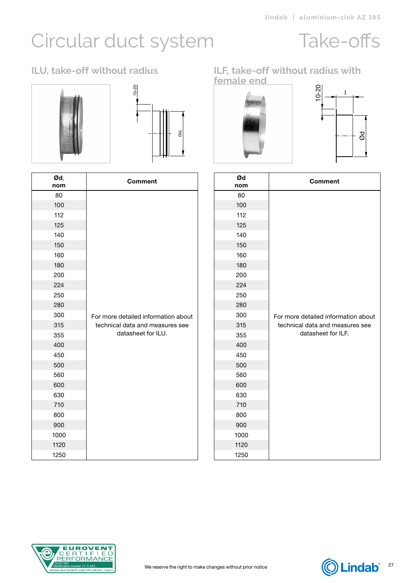### Take-offs





| Ød,<br>nom | <b>Comment</b>                      |
|------------|-------------------------------------|
| 80         |                                     |
| 100        |                                     |
| 112        |                                     |
| 125        |                                     |
| 140        |                                     |
| 150        |                                     |
| 160        |                                     |
| 180        |                                     |
| 200        |                                     |
| 224        |                                     |
| 250        |                                     |
| 280        |                                     |
| 300        | For more detailed information about |
| 315        | technical data and measures see     |
| 355        | datasheet for ILU.                  |
| 400        |                                     |
| 450        |                                     |
| 500        |                                     |
| 560        |                                     |
| 600        |                                     |
| 630        |                                     |
| 710        |                                     |
| 800        |                                     |
| 900        |                                     |
| 1000       |                                     |
| 1120       |                                     |
| 1250       |                                     |

### <span id="page-26-0"></span>**ILU, take-off without radius ILF, take-off without radius with female end**





|                    | nom                                                                    | <b>Comment</b>                                                                                                               |
|--------------------|------------------------------------------------------------------------|------------------------------------------------------------------------------------------------------------------------------|
|                    | 80                                                                     |                                                                                                                              |
|                    | 100                                                                    |                                                                                                                              |
|                    |                                                                        |                                                                                                                              |
|                    |                                                                        |                                                                                                                              |
|                    |                                                                        |                                                                                                                              |
|                    |                                                                        |                                                                                                                              |
|                    |                                                                        |                                                                                                                              |
|                    |                                                                        |                                                                                                                              |
|                    |                                                                        |                                                                                                                              |
|                    |                                                                        |                                                                                                                              |
|                    |                                                                        |                                                                                                                              |
|                    |                                                                        | For more detailed information about                                                                                          |
|                    |                                                                        | technical data and measures see                                                                                              |
| datasheet for ILU. | 355                                                                    | datasheet for ILF.                                                                                                           |
|                    | 400                                                                    |                                                                                                                              |
|                    | 450                                                                    |                                                                                                                              |
|                    | 500                                                                    |                                                                                                                              |
|                    | 560                                                                    |                                                                                                                              |
|                    | 600                                                                    |                                                                                                                              |
|                    |                                                                        |                                                                                                                              |
|                    |                                                                        |                                                                                                                              |
|                    |                                                                        |                                                                                                                              |
|                    |                                                                        |                                                                                                                              |
|                    |                                                                        |                                                                                                                              |
|                    | 1250                                                                   |                                                                                                                              |
|                    | For more detailed information about<br>technical data and measures see | 112<br>125<br>140<br>150<br>160<br>180<br>200<br>224<br>250<br>280<br>300<br>315<br>630<br>710<br>800<br>900<br>1000<br>1120 |



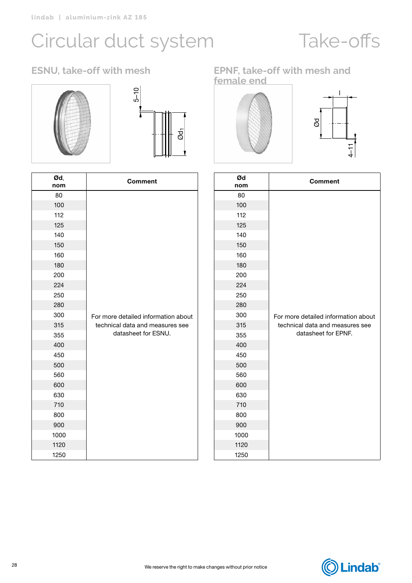## Take-offs

### ESNU, take-off with mesh





 $\overline{\phantom{a}}$ 

| Ød,<br>nom | <b>Comment</b>                      |
|------------|-------------------------------------|
| 80         |                                     |
| 100        |                                     |
| 112        |                                     |
| 125        |                                     |
| 140        |                                     |
| 150        |                                     |
| 160        |                                     |
| 180        |                                     |
| 200        |                                     |
| 224        |                                     |
| 250        |                                     |
| 280        |                                     |
| 300        | For more detailed information about |
| 315        | technical data and measures see     |
| 355        | datasheet for ESNU.                 |
| 400        |                                     |
| 450        |                                     |
| 500        |                                     |
| 560        |                                     |
| 600        |                                     |
| 630        |                                     |
| 710        |                                     |
| 800        |                                     |
| 900        |                                     |
| 1000       |                                     |
| 1120       |                                     |
| 1250       |                                     |

#### **ESNU, take-off with mesh EPNF, take-off with mesh and female end**





| Ød<br>nom | <b>Comment</b>                      |
|-----------|-------------------------------------|
| 80        |                                     |
| 100       |                                     |
| 112       |                                     |
| 125       |                                     |
| 140       |                                     |
| 150       |                                     |
| 160       |                                     |
| 180       |                                     |
| 200       |                                     |
| 224       |                                     |
| 250       |                                     |
| 280       |                                     |
| 300       | For more detailed information about |
| 315       | technical data and measures see     |
| 355       | datasheet for EPNF.                 |
| 400       |                                     |
| 450       |                                     |
| 500       |                                     |
| 560       |                                     |
| 600       |                                     |
| 630       |                                     |
| 710       |                                     |
| 800       |                                     |
| 900       |                                     |
| 1000      |                                     |
| 1120      |                                     |
| 1250      |                                     |

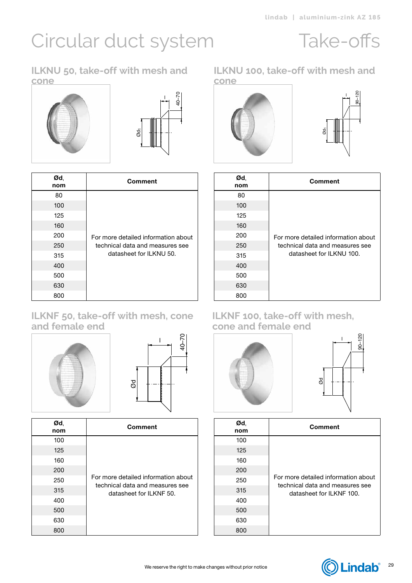### Take-offs

90–120 l

**ILKNU 50, take-off with mesh and cone**





| Ød,<br>nom | <b>Comment</b>                      |
|------------|-------------------------------------|
| 80         |                                     |
| 100        |                                     |
| 125        |                                     |
| 160        |                                     |
| 200        | For more detailed information about |
| 250        | technical data and measures see     |
| 315        | datasheet for ILKNU 50.             |
| 400        |                                     |
| 500        |                                     |
| 630        |                                     |
| 800        |                                     |

#### **ILKNF 50, take-off with mesh, cone and female end**





| Ød,<br>nom | Comment                                                                |
|------------|------------------------------------------------------------------------|
| 100        |                                                                        |
| 125        |                                                                        |
| 160        |                                                                        |
| 200        |                                                                        |
| 250        | For more detailed information about<br>technical data and measures see |
| 315        | datasheet for ILKNF 50.                                                |
| 400        |                                                                        |
| 500        |                                                                        |
| 630        |                                                                        |
| 800        |                                                                        |

#### **ILKNU 100, take-off with mesh and cone**



| Ød,<br>nom | Comment                             |
|------------|-------------------------------------|
| 80         |                                     |
| 100        |                                     |
| 125        |                                     |
| 160        |                                     |
| 200        | For more detailed information about |
| 250        | technical data and measures see     |
| 315        | datasheet for ILKNU 100.            |
| 400        |                                     |
| 500        |                                     |
| 630        |                                     |
| 800        |                                     |

#### **ILKNF 100, take-off with mesh, cone and female end**





| Ød,<br>nom | <b>Comment</b>                                                         |
|------------|------------------------------------------------------------------------|
| 100        |                                                                        |
| 125        |                                                                        |
| 160        |                                                                        |
| 200        |                                                                        |
| 250        | For more detailed information about<br>technical data and measures see |
| 315        | datasheet for ILKNF 100.                                               |
| 400        |                                                                        |
| 500        |                                                                        |
| 630        |                                                                        |
| 800        |                                                                        |

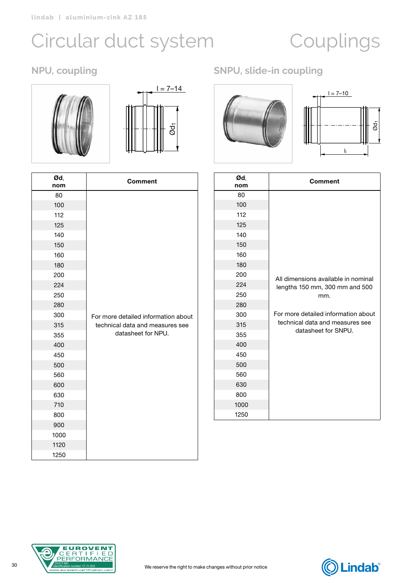# <span id="page-29-0"></span>Circular duct system Couplings





| Ød,<br>nom | <b>Comment</b>                      |
|------------|-------------------------------------|
| 80         |                                     |
| 100        |                                     |
| 112        |                                     |
| 125        |                                     |
| 140        |                                     |
| 150        |                                     |
| 160        |                                     |
| 180        |                                     |
| 200        |                                     |
| 224        |                                     |
| 250        |                                     |
| 280        |                                     |
| 300        | For more detailed information about |
| 315        | technical data and measures see     |
| 355        | datasheet for NPU.                  |
| 400        |                                     |
| 450        |                                     |
| 500        |                                     |
| 560        |                                     |
| 600        |                                     |
| 630        |                                     |
| 710        |                                     |
| 800        |                                     |
| 900        |                                     |
| 1000       |                                     |
| 1120       |                                     |
| 1250       |                                     |

### **NPU, coupling SNPU, slide-in coupling**



| Ød,<br>nom | Comment                                                |
|------------|--------------------------------------------------------|
| 80         |                                                        |
| 100        |                                                        |
| 112        |                                                        |
| 125        |                                                        |
| 140        |                                                        |
| 150        |                                                        |
| 160        |                                                        |
| 180        |                                                        |
| 200        | All dimensions available in nominal                    |
| 224        | lengths 150 mm, 300 mm and 500                         |
| 250        | mm.                                                    |
| 280        |                                                        |
| 300        | For more detailed information about                    |
| 315        | technical data and measures see<br>datasheet for SNPU. |
| 355        |                                                        |
| 400        |                                                        |
| 450        |                                                        |
| 500        |                                                        |
| 560        |                                                        |
| 630        |                                                        |
| 800        |                                                        |
| 1000       |                                                        |
| 1250       |                                                        |



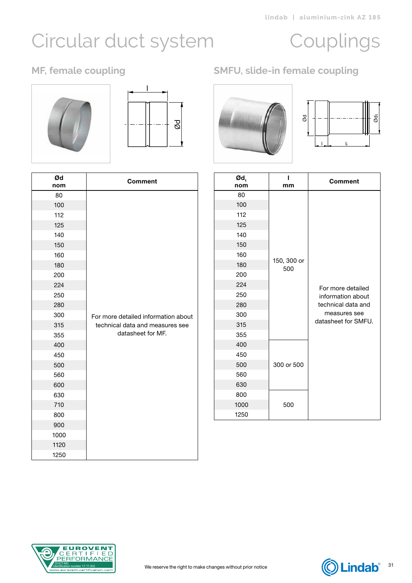# Circular duct system Couplings





| Ød<br>nom | <b>Comment</b>                      |
|-----------|-------------------------------------|
| 80        |                                     |
| 100       |                                     |
| 112       |                                     |
| 125       |                                     |
| 140       |                                     |
| 150       |                                     |
| 160       |                                     |
| 180       |                                     |
| 200       |                                     |
| 224       |                                     |
| 250       |                                     |
| 280       |                                     |
| 300       | For more detailed information about |
| 315       | technical data and measures see     |
| 355       | datasheet for MF.                   |
| 400       |                                     |
| 450       |                                     |
| 500       |                                     |
| 560       |                                     |
| 600       |                                     |
| 630       |                                     |
| 710       |                                     |
| 800       |                                     |
| 900       |                                     |
| 1000      |                                     |
| 1120      |                                     |
| 1250      |                                     |

### **MF, female coupling SMFU, slide-in female coupling**





| Ød<br>nom | <b>Comment</b>                      | $\boldsymbol{\mathsf{od}}_1$<br>nom | L<br>mm     | <b>Comment</b>                      |
|-----------|-------------------------------------|-------------------------------------|-------------|-------------------------------------|
| 80        |                                     | 80                                  |             |                                     |
| 100       |                                     | 100                                 |             |                                     |
| 112       |                                     | 112                                 |             |                                     |
| 125       |                                     | 125                                 |             |                                     |
| 140       |                                     | 140                                 |             |                                     |
| 150       |                                     | 150                                 |             |                                     |
| 160       |                                     | 160                                 | 150, 300 or |                                     |
| 180       |                                     | 180                                 | 500         |                                     |
| 200       |                                     | 200                                 |             |                                     |
| 224       |                                     | 224                                 |             | For more detailed                   |
| 250       |                                     | 250                                 |             | information about                   |
| 280       |                                     | 280                                 |             | technical data and                  |
| 300       | For more detailed information about | 300                                 |             | measures see<br>datasheet for SMFU. |
| 315       | technical data and measures see     | 315                                 |             |                                     |
| 355       | datasheet for MF.                   | 355                                 |             |                                     |
| 400       |                                     | 400                                 |             |                                     |
| 450       |                                     | 450                                 |             |                                     |
| 500       |                                     | 500                                 | 300 or 500  |                                     |
| 560       |                                     | 560                                 |             |                                     |
| 600       |                                     | 630                                 |             |                                     |
| 630       |                                     | 800                                 |             |                                     |
| 710       |                                     | 1000                                | 500         |                                     |
| 800       |                                     | 1250                                |             |                                     |
| 900       |                                     |                                     |             |                                     |
| 1000      |                                     |                                     |             |                                     |
| 1120      |                                     |                                     |             |                                     |
| 1250      |                                     |                                     |             |                                     |



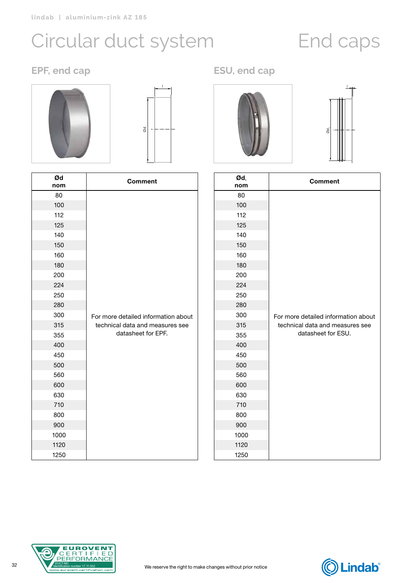## <span id="page-31-0"></span>Circular duct system End caps

### **EPF, end cap ESU, end cap**





| Ød<br>nom | <b>Comment</b>                      |
|-----------|-------------------------------------|
| 80        |                                     |
| 100       |                                     |
| 112       |                                     |
| 125       |                                     |
| 140       |                                     |
| 150       |                                     |
| 160       |                                     |
| 180       |                                     |
| 200       |                                     |
| 224       |                                     |
| 250       |                                     |
| 280       |                                     |
| 300       | For more detailed information about |
| 315       | technical data and measures see     |
| 355       | datasheet for EPF.                  |
| 400       |                                     |
| 450       |                                     |
| 500       |                                     |
| 560       |                                     |
| 600       |                                     |
| 630       |                                     |
| 710       |                                     |
| 800       |                                     |
| 900       |                                     |
| 1000      |                                     |
| 1120      |                                     |
| 1250      |                                     |





| Ød,<br>nom | <b>Comment</b>                      |
|------------|-------------------------------------|
| 80         |                                     |
| 100        |                                     |
| 112        |                                     |
| 125        |                                     |
| 140        |                                     |
| 150        |                                     |
| 160        |                                     |
| 180        |                                     |
| 200        |                                     |
| 224        |                                     |
| 250        |                                     |
| 280        |                                     |
| 300        | For more detailed information about |
| 315        | technical data and measures see     |
| 355        | datasheet for ESU.                  |
| 400        |                                     |
| 450        |                                     |
| 500        |                                     |
| 560        |                                     |
| 600        |                                     |
| 630        |                                     |
| 710        |                                     |
| 800        |                                     |
| 900        |                                     |
| 1000       |                                     |
| 1120       |                                     |
| 1250       |                                     |



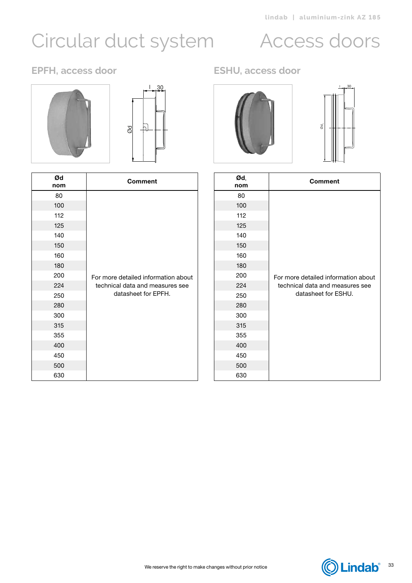# <span id="page-32-0"></span>Circular duct system Access doors





| Ød<br>nom | Comment                             |
|-----------|-------------------------------------|
| 80        |                                     |
| 100       |                                     |
| 112       |                                     |
| 125       |                                     |
| 140       |                                     |
| 150       |                                     |
| 160       |                                     |
| 180       |                                     |
| 200       | For more detailed information about |
| 224       | technical data and measures see     |
| 250       | datasheet for EPFH.                 |
| 280       |                                     |
| 300       |                                     |
| 315       |                                     |
| 355       |                                     |
| 400       |                                     |
| 450       |                                     |
| 500       |                                     |
| 630       |                                     |

### **EPFH, access door ESHU, access door**



| Ød,<br>nom | <b>Comment</b>                      |
|------------|-------------------------------------|
| 80         |                                     |
| 100        |                                     |
| 112        |                                     |
| 125        |                                     |
| 140        |                                     |
| 150        |                                     |
| 160        |                                     |
| 180        |                                     |
| 200        | For more detailed information about |
| 224        | technical data and measures see     |
| 250        | datasheet for ESHU.                 |
| 280        |                                     |
| 300        |                                     |
| 315        |                                     |
| 355        |                                     |
| 400        |                                     |
| 450        |                                     |
| 500        |                                     |
| 630        |                                     |

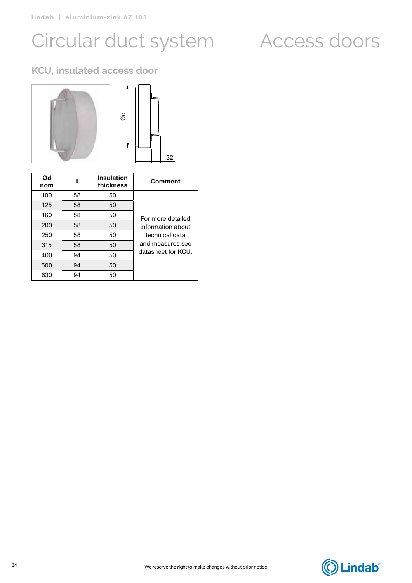## Circular duct system Access doors

### **KCU, insulated access door**



| Ød<br>nom |    | <b>Insulation</b><br>thickness | <b>Comment</b>     |
|-----------|----|--------------------------------|--------------------|
| 100       | 58 | 50                             |                    |
| 125       | 58 | 50                             |                    |
| 160       | 58 | 50                             | For more detailed  |
| 200       | 58 | 50                             | information about  |
| 250       | 58 | 50                             | technical data     |
| 315       | 58 | 50                             | and measures see   |
| 400       | 94 | 50                             | datasheet for KCU. |
| 500       | 94 | 50                             |                    |
| 630       | 94 | 50                             |                    |

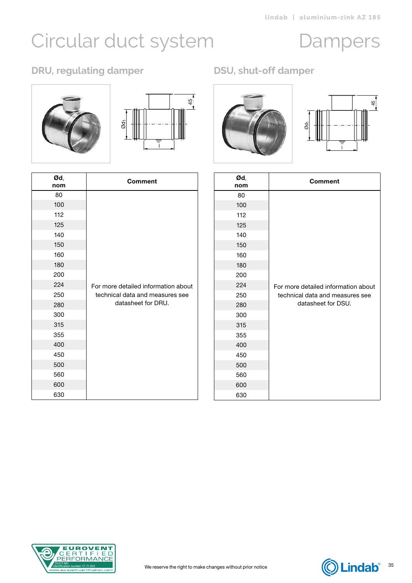# <span id="page-34-0"></span>Circular duct system Dampers

### **DRU, regulating damper DSU, shut-off damper**





| Ød,<br>nom | <b>Comment</b>                      |
|------------|-------------------------------------|
| 80         |                                     |
| 100        |                                     |
| 112        |                                     |
| 125        |                                     |
| 140        |                                     |
| 150        |                                     |
| 160        |                                     |
| 180        |                                     |
| 200        |                                     |
| 224        | For more detailed information about |
| 250        | technical data and measures see     |
| 280        | datasheet for DRU.                  |
| 300        |                                     |
| 315        |                                     |
| 355        |                                     |
| 400        |                                     |
| 450        |                                     |
| 500        |                                     |
| 560        |                                     |
| 600        |                                     |
| 630        |                                     |



| 80                |                                     |            | <b>Comment</b>                      |
|-------------------|-------------------------------------|------------|-------------------------------------|
| 100<br>112<br>125 |                                     | 80         |                                     |
|                   |                                     | 100        |                                     |
|                   |                                     | 112        |                                     |
|                   |                                     | 125        |                                     |
| 140               |                                     | 140        |                                     |
| 150<br>160        |                                     | 150        |                                     |
| 180               |                                     | 160<br>180 |                                     |
| 200               |                                     | 200        |                                     |
| 224               | For more detailed information about | 224        | For more detailed information about |
| 250               | technical data and measures see     | 250        | technical data and measures see     |
| 280               | datasheet for DRU.                  | 280        | datasheet for DSU.                  |
| 300               |                                     | 300        |                                     |
| 315               |                                     | 315        |                                     |
| 355               |                                     | 355        |                                     |
| 400               |                                     | 400        |                                     |
| 450               |                                     | 450        |                                     |
| 500               |                                     | 500        |                                     |
| 560               |                                     | 560        |                                     |
| 600               |                                     | 600        |                                     |
| 630               |                                     | 630        |                                     |



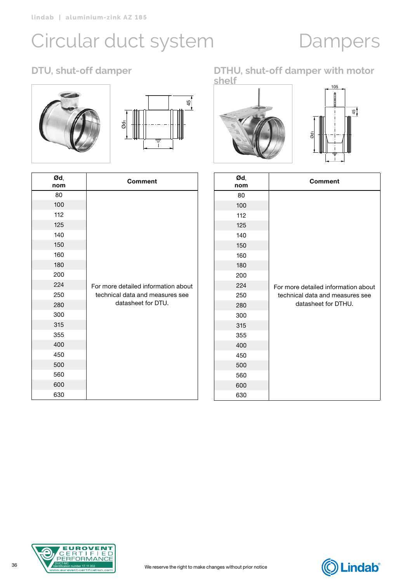## Circular duct system Dampers





| Ød,<br>nom | <b>Comment</b>                      |
|------------|-------------------------------------|
| 80         |                                     |
| 100        |                                     |
| 112        |                                     |
| 125        |                                     |
| 140        |                                     |
| 150        |                                     |
| 160        |                                     |
| 180        |                                     |
| 200        |                                     |
| 224        | For more detailed information about |
| 250        | technical data and measures see     |
| 280        | datasheet for DTU.                  |
| 300        |                                     |
| 315        |                                     |
| 355        |                                     |
| 400        |                                     |
| 450        |                                     |
| 500        |                                     |
| 560        |                                     |
| 600        |                                     |
| 630        |                                     |

#### **DTU, shut-off damper DTHU, shut-off damper with motor shelf**





| Ød,<br>nom | <b>Comment</b>                      |
|------------|-------------------------------------|
| 80         |                                     |
| 100        |                                     |
| 112        |                                     |
| 125        |                                     |
| 140        |                                     |
| 150        |                                     |
| 160        |                                     |
| 180        |                                     |
| 200        |                                     |
| 224        | For more detailed information about |
| 250        | technical data and measures see     |
| 280        | datasheet for DTHU.                 |
| 300        |                                     |
| 315        |                                     |
| 355        |                                     |
| 400        |                                     |
| 450        |                                     |
| 500        |                                     |
| 560        |                                     |
| 600        |                                     |
| 630        |                                     |



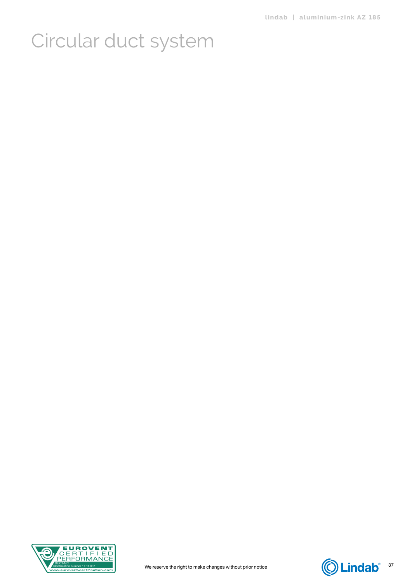

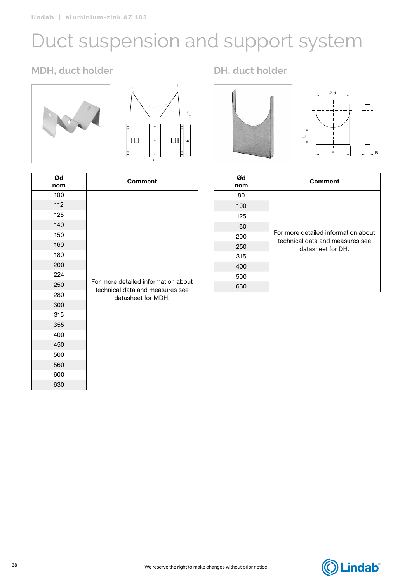# <span id="page-37-0"></span>Duct suspension and support system

### **MDH, duct holder DH, duct holder**





| Ød<br>nom | <b>Comment</b>                                                                               |
|-----------|----------------------------------------------------------------------------------------------|
| 100       |                                                                                              |
| 112       |                                                                                              |
| 125       |                                                                                              |
| 140       |                                                                                              |
| 150       |                                                                                              |
| 160       |                                                                                              |
| 180       |                                                                                              |
| 200       | For more detailed information about<br>technical data and measures see<br>datasheet for MDH. |
| 224       |                                                                                              |
| 250       |                                                                                              |
| 280       |                                                                                              |
| 300       |                                                                                              |
| 315       |                                                                                              |
| 355       |                                                                                              |
| 400       |                                                                                              |
| 450       |                                                                                              |
| 500       |                                                                                              |
| 560       |                                                                                              |
| 600       |                                                                                              |
| 630       |                                                                                              |



| Ød<br>nom | <b>Comment</b>                                                                              |
|-----------|---------------------------------------------------------------------------------------------|
| 80        |                                                                                             |
| 100       | For more detailed information about<br>technical data and measures see<br>datasheet for DH. |
| 125       |                                                                                             |
| 160       |                                                                                             |
| 200       |                                                                                             |
| 250       |                                                                                             |
| 315       |                                                                                             |
| 400       |                                                                                             |
| 500       |                                                                                             |
| 630       |                                                                                             |

B

## **C**Lindab®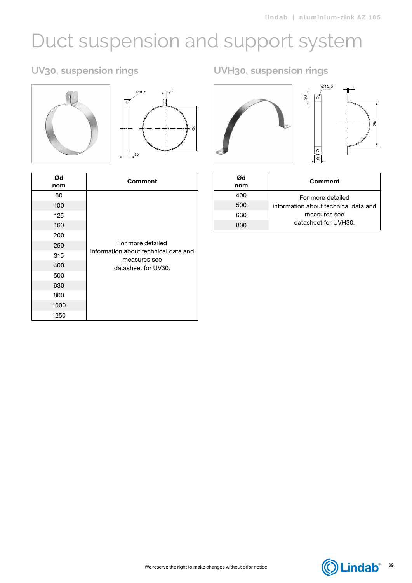## Duct suspension and support system

### **UV30, suspension rings**





| Ød<br>nom | <b>Comment</b>                                                            |
|-----------|---------------------------------------------------------------------------|
| 80        |                                                                           |
| 100       | For more detailed<br>information about technical data and<br>measures see |
| 125       |                                                                           |
| 160       |                                                                           |
| 200       |                                                                           |
| 250       |                                                                           |
| 315       |                                                                           |
| 400       | datasheet for UV30.                                                       |
| 500       |                                                                           |
| 630       |                                                                           |
| 800       |                                                                           |
| 1000      |                                                                           |
| 1250      |                                                                           |

**UVH30, suspension rings**



| Ød<br>nom | <b>Comment</b>                       |
|-----------|--------------------------------------|
| 400       | For more detailed                    |
| 500       | information about technical data and |
| 630       | measures see                         |
| 800.      | datasheet for UVH30.                 |

We reserve the right to make changes without prior notice

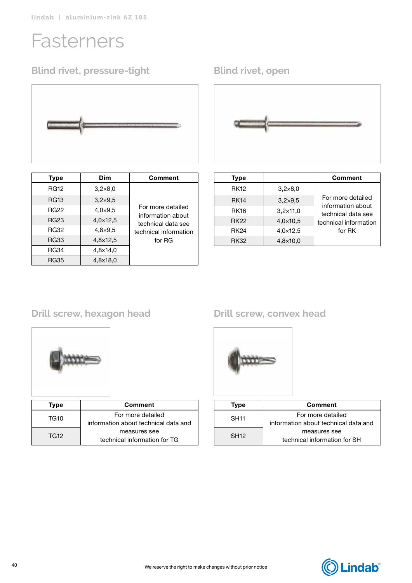## <span id="page-39-0"></span>Fasterners

### **Blind rivet, pressure-tight Blind rivet, open**



| <b>Type</b> | Dim             | Comment                                 |
|-------------|-----------------|-----------------------------------------|
| <b>RG12</b> | $3,2\times8,0$  |                                         |
| <b>RG13</b> | $3,2\times9,5$  |                                         |
| <b>RG22</b> | $4,0\times9,5$  | For more detailed                       |
| <b>RG23</b> | $4,0\times12,5$ | information about<br>technical data see |
| <b>RG32</b> | $4,8\times9,5$  | technical information                   |
| <b>RG33</b> | $4,8\times12,5$ | for RG                                  |
| <b>RG34</b> | 4,8x14,0        |                                         |
| RG35        | 4,8x18,0        |                                         |



| <b>Type</b> |                   | <b>Comment</b>                          |
|-------------|-------------------|-----------------------------------------|
| <b>RK12</b> | $3,2\times8,0$    |                                         |
| <b>RK14</b> | $3,2\times9,5$    | For more detailed                       |
| <b>RK16</b> | $3,2\times11,0$   | information about<br>technical data see |
| <b>RK22</b> | $4,0 \times 10,5$ | technical information                   |
| <b>RK24</b> | $4,0 \times 12,5$ | for RK                                  |
| <b>RK32</b> | $4,8\times10,0$   |                                         |

### **Drill screw, hexagon head Drill screw, convex head**



| Type | <b>Comment</b>                       |
|------|--------------------------------------|
| TG10 | For more detailed                    |
|      | information about technical data and |
| TG12 | measures see                         |
|      | technical information for TG         |



| Type             | <b>Comment</b>                       |
|------------------|--------------------------------------|
| <b>SH11</b>      | For more detailed                    |
|                  | information about technical data and |
| SH <sub>12</sub> | measures see                         |
|                  | technical information for SH         |